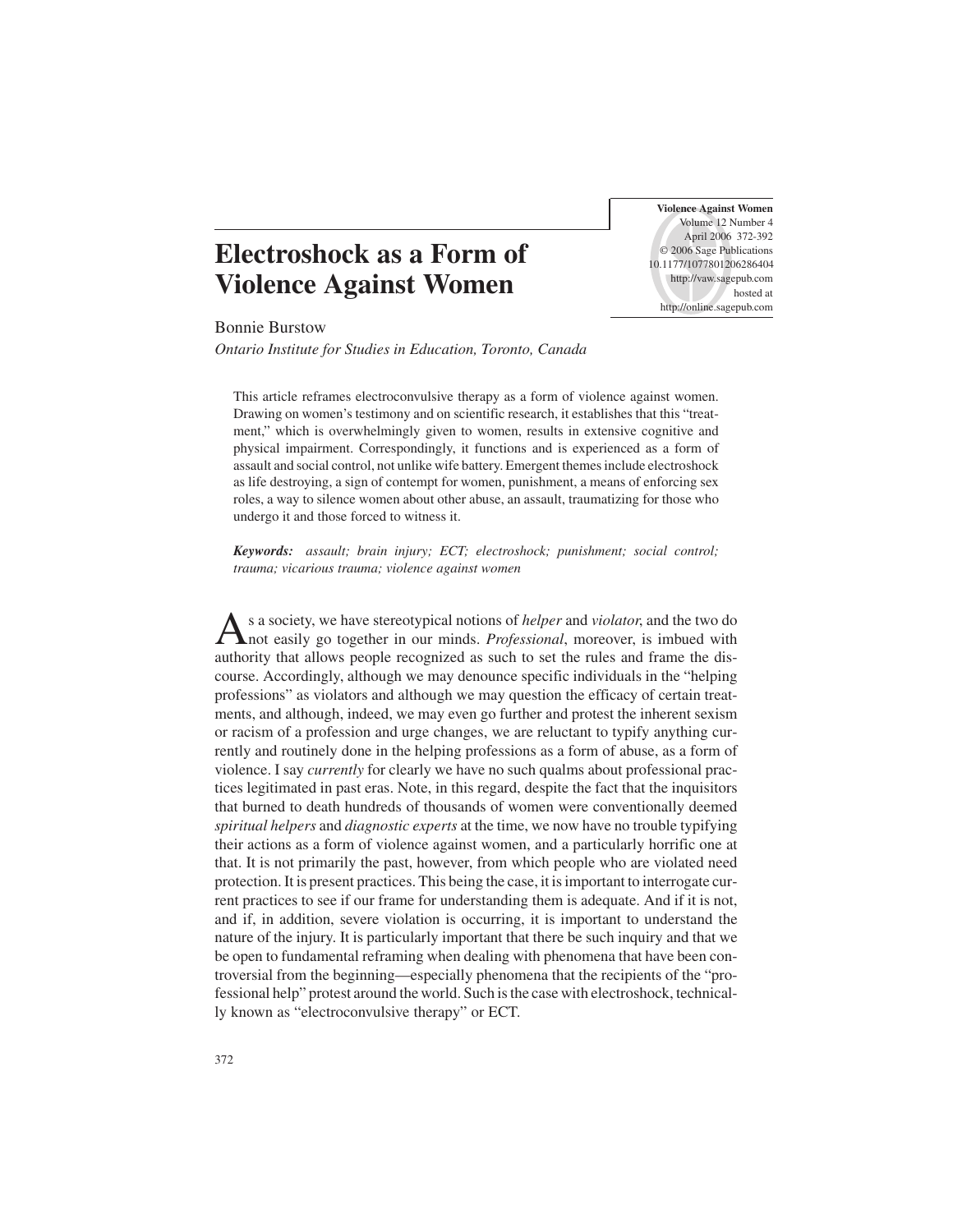**Violence Against Women** Volume 12 Number 4 April 2006 372-392 © 2006 Sage Publications 10.1177/1077801206286404 http://vaw.sagepub.com hosted at http://online.sagepub.com

# **Electroshock as a Form of Violence Against Women**

Bonnie Burstow

*Ontario Institute for Studies in Education, Toronto, Canada*

This article reframes electroconvulsive therapy as a form of violence against women. Drawing on women's testimony and on scientific research, it establishes that this "treatment," which is overwhelmingly given to women, results in extensive cognitive and physical impairment. Correspondingly, it functions and is experienced as a form of assault and social control, not unlike wife battery. Emergent themes include electroshock as life destroying, a sign of contempt for women, punishment, a means of enforcing sex roles, a way to silence women about other abuse, an assault, traumatizing for those who undergo it and those forced to witness it.

*Keywords: assault; brain injury; ECT; electroshock; punishment; social control; trauma; vicarious trauma; violence against women*

As a society, we have stereotypical notions of *helper* and *violator*, and the two do not easily go together in our minds. *Professional*, moreover, is imbued with authority that allows people recognized as such to set the rules and frame the discourse. Accordingly, although we may denounce specific individuals in the "helping professions" as violators and although we may question the efficacy of certain treatments, and although, indeed, we may even go further and protest the inherent sexism or racism of a profession and urge changes, we are reluctant to typify anything currently and routinely done in the helping professions as a form of abuse, as a form of violence. I say *currently* for clearly we have no such qualms about professional practices legitimated in past eras. Note, in this regard, despite the fact that the inquisitors that burned to death hundreds of thousands of women were conventionally deemed *spiritual helpers* and *diagnostic experts* at the time, we now have no trouble typifying their actions as a form of violence against women, and a particularly horrific one at that. It is not primarily the past, however, from which people who are violated need protection. It is present practices. This being the case, it is important to interrogate current practices to see if our frame for understanding them is adequate. And if it is not, and if, in addition, severe violation is occurring, it is important to understand the nature of the injury. It is particularly important that there be such inquiry and that we be open to fundamental reframing when dealing with phenomena that have been controversial from the beginning—especially phenomena that the recipients of the "professional help" protest around the world. Such is the case with electroshock, technically known as "electroconvulsive therapy" or ECT.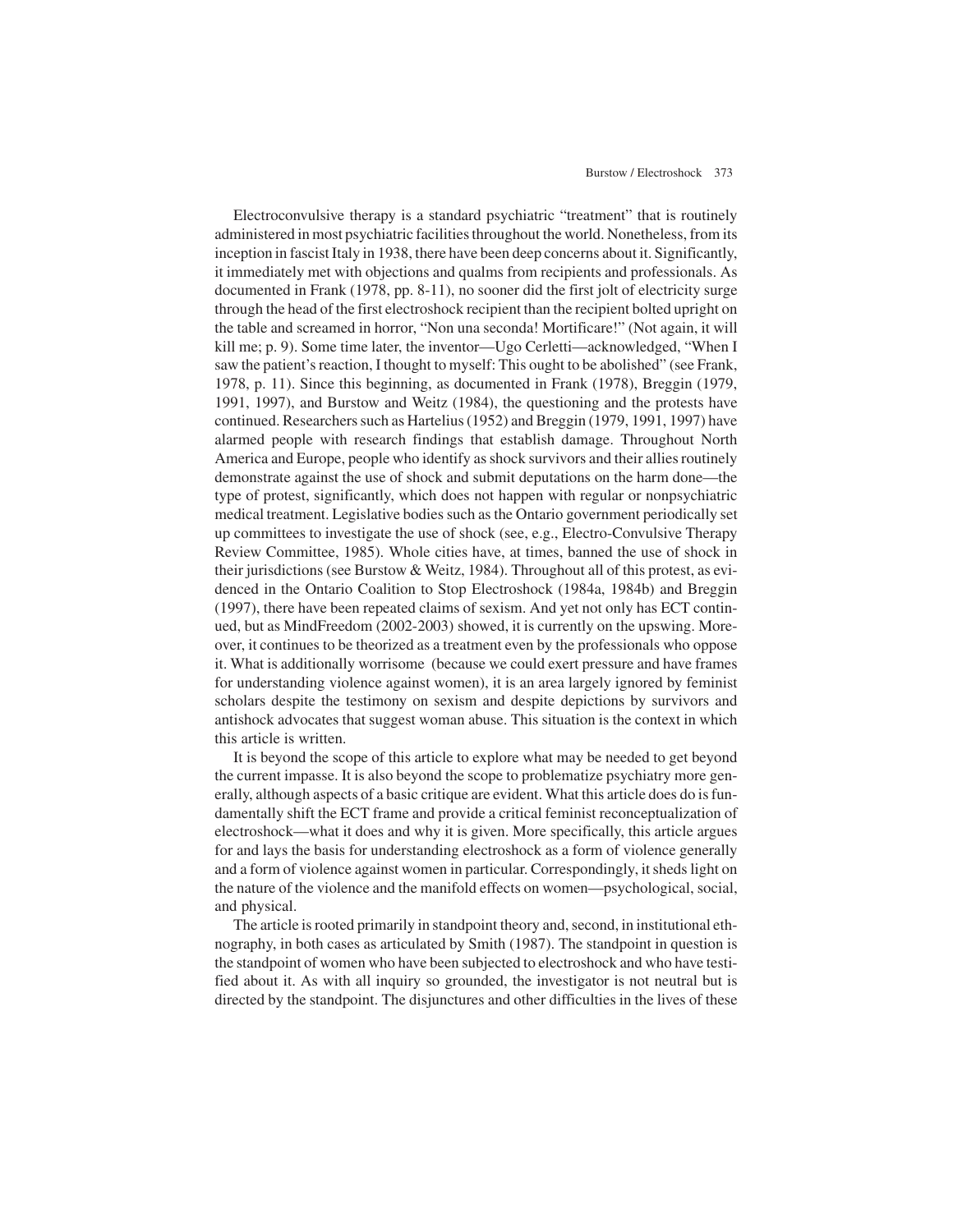Electroconvulsive therapy is a standard psychiatric "treatment" that is routinely administered in most psychiatric facilities throughout the world. Nonetheless, from its inception in fascist Italy in 1938, there have been deep concerns about it. Significantly, it immediately met with objections and qualms from recipients and professionals. As documented in Frank (1978, pp. 8-11), no sooner did the first jolt of electricity surge through the head of the first electroshock recipient than the recipient bolted upright on the table and screamed in horror, "Non una seconda! Mortificare!" (Not again, it will kill me; p. 9). Some time later, the inventor—Ugo Cerletti—acknowledged, "When I saw the patient's reaction, I thought to myself: This ought to be abolished" (see Frank, 1978, p. 11). Since this beginning, as documented in Frank (1978), Breggin (1979, 1991, 1997), and Burstow and Weitz (1984), the questioning and the protests have continued. Researchers such as Hartelius (1952) and Breggin (1979, 1991, 1997) have alarmed people with research findings that establish damage. Throughout North America and Europe, people who identify as shock survivors and their allies routinely demonstrate against the use of shock and submit deputations on the harm done—the type of protest, significantly, which does not happen with regular or nonpsychiatric medical treatment. Legislative bodies such as the Ontario government periodically set up committees to investigate the use of shock (see, e.g., Electro-Convulsive Therapy Review Committee, 1985). Whole cities have, at times, banned the use of shock in their jurisdictions (see Burstow & Weitz, 1984). Throughout all of this protest, as evidenced in the Ontario Coalition to Stop Electroshock (1984a, 1984b) and Breggin (1997), there have been repeated claims of sexism. And yet not only has ECT continued, but as MindFreedom (2002-2003) showed, it is currently on the upswing. Moreover, it continues to be theorized as a treatment even by the professionals who oppose it. What is additionally worrisome (because we could exert pressure and have frames for understanding violence against women), it is an area largely ignored by feminist scholars despite the testimony on sexism and despite depictions by survivors and antishock advocates that suggest woman abuse. This situation is the context in which this article is written.

It is beyond the scope of this article to explore what may be needed to get beyond the current impasse. It is also beyond the scope to problematize psychiatry more generally, although aspects of a basic critique are evident. What this article does do is fundamentally shift the ECT frame and provide a critical feminist reconceptualization of electroshock—what it does and why it is given. More specifically, this article argues for and lays the basis for understanding electroshock as a form of violence generally and a form of violence against women in particular. Correspondingly, it sheds light on the nature of the violence and the manifold effects on women—psychological, social, and physical.

The article is rooted primarily in standpoint theory and, second, in institutional ethnography, in both cases as articulated by Smith (1987). The standpoint in question is the standpoint of women who have been subjected to electroshock and who have testified about it. As with all inquiry so grounded, the investigator is not neutral but is directed by the standpoint. The disjunctures and other difficulties in the lives of these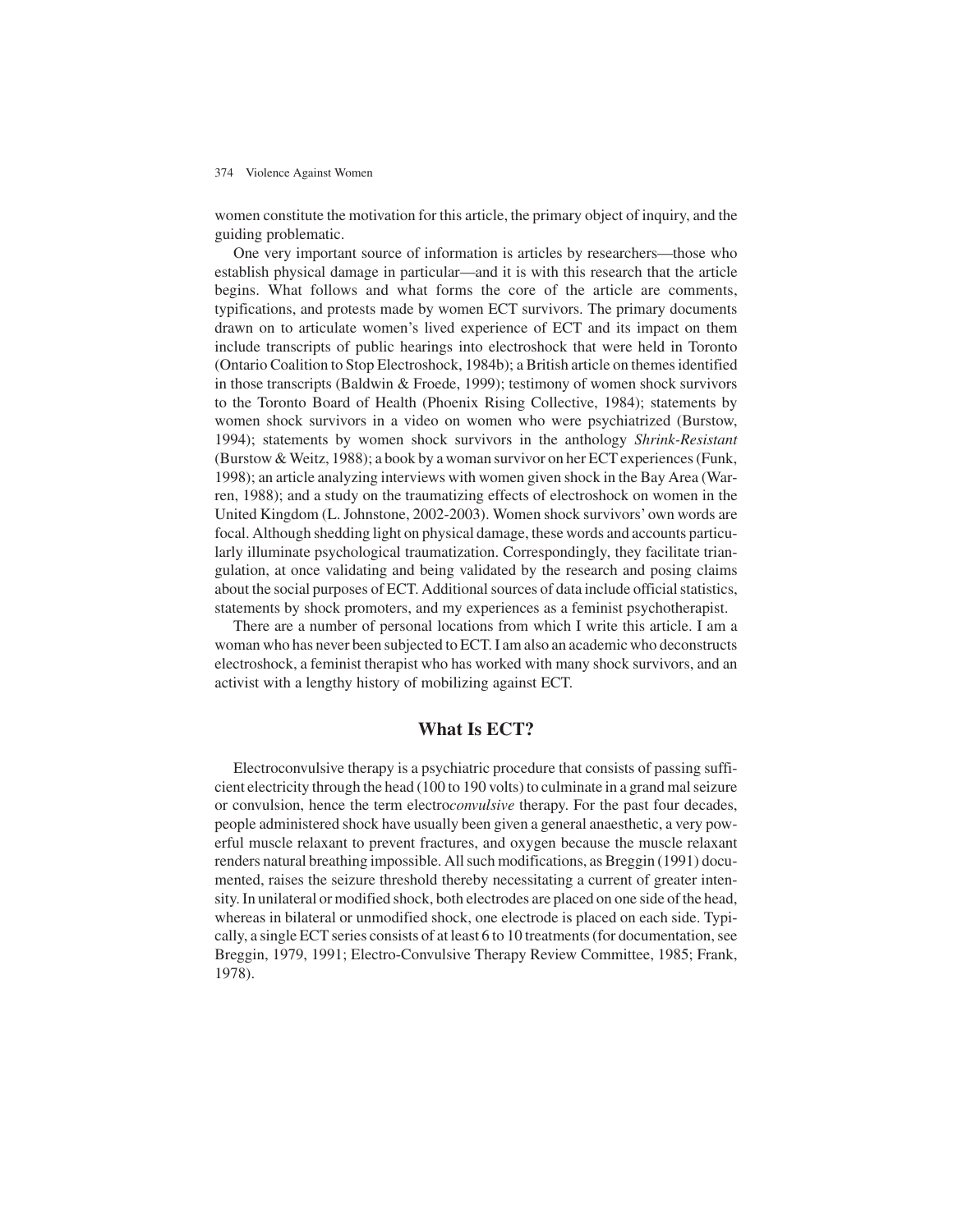women constitute the motivation for this article, the primary object of inquiry, and the guiding problematic.

One very important source of information is articles by researchers—those who establish physical damage in particular—and it is with this research that the article begins. What follows and what forms the core of the article are comments, typifications, and protests made by women ECT survivors. The primary documents drawn on to articulate women's lived experience of ECT and its impact on them include transcripts of public hearings into electroshock that were held in Toronto (Ontario Coalition to Stop Electroshock, 1984b); a British article on themes identified in those transcripts (Baldwin & Froede, 1999); testimony of women shock survivors to the Toronto Board of Health (Phoenix Rising Collective, 1984); statements by women shock survivors in a video on women who were psychiatrized (Burstow, 1994); statements by women shock survivors in the anthology *Shrink-Resistant* (Burstow & Weitz, 1988); a book by a woman survivor on her ECT experiences (Funk, 1998); an article analyzing interviews with women given shock in the Bay Area (Warren, 1988); and a study on the traumatizing effects of electroshock on women in the United Kingdom (L. Johnstone, 2002-2003). Women shock survivors'own words are focal. Although shedding light on physical damage, these words and accounts particularly illuminate psychological traumatization. Correspondingly, they facilitate triangulation, at once validating and being validated by the research and posing claims about the social purposes of ECT. Additional sources of data include official statistics, statements by shock promoters, and my experiences as a feminist psychotherapist.

There are a number of personal locations from which I write this article. I am a woman who has never been subjected to ECT. I am also an academic who deconstructs electroshock, a feminist therapist who has worked with many shock survivors, and an activist with a lengthy history of mobilizing against ECT.

# **What Is ECT?**

Electroconvulsive therapy is a psychiatric procedure that consists of passing sufficient electricity through the head (100 to 190 volts) to culminate in a grand mal seizure or convulsion, hence the term electro*convulsive* therapy. For the past four decades, people administered shock have usually been given a general anaesthetic, a very powerful muscle relaxant to prevent fractures, and oxygen because the muscle relaxant renders natural breathing impossible. All such modifications, as Breggin (1991) documented, raises the seizure threshold thereby necessitating a current of greater intensity. In unilateral or modified shock, both electrodes are placed on one side of the head, whereas in bilateral or unmodified shock, one electrode is placed on each side. Typically, a single ECT series consists of at least 6 to 10 treatments (for documentation, see Breggin, 1979, 1991; Electro-Convulsive Therapy Review Committee, 1985; Frank, 1978).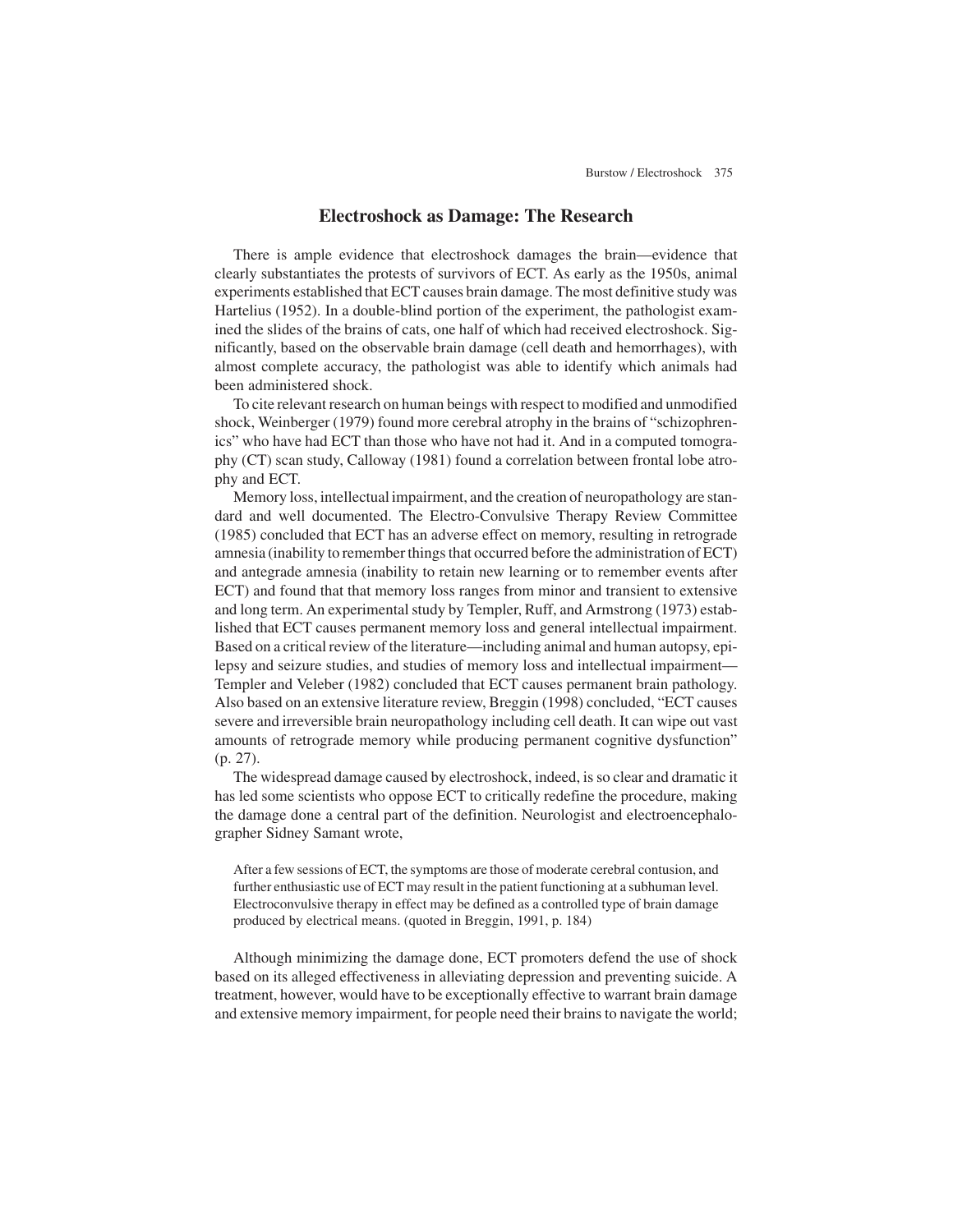# **Electroshock as Damage: The Research**

There is ample evidence that electroshock damages the brain—evidence that clearly substantiates the protests of survivors of ECT. As early as the 1950s, animal experiments established that ECT causes brain damage. The most definitive study was Hartelius (1952). In a double-blind portion of the experiment, the pathologist examined the slides of the brains of cats, one half of which had received electroshock. Significantly, based on the observable brain damage (cell death and hemorrhages), with almost complete accuracy, the pathologist was able to identify which animals had been administered shock.

To cite relevant research on human beings with respect to modified and unmodified shock, Weinberger (1979) found more cerebral atrophy in the brains of "schizophrenics" who have had ECT than those who have not had it. And in a computed tomography (CT) scan study, Calloway (1981) found a correlation between frontal lobe atrophy and ECT.

Memory loss, intellectual impairment, and the creation of neuropathology are standard and well documented. The Electro-Convulsive Therapy Review Committee (1985) concluded that ECT has an adverse effect on memory, resulting in retrograde amnesia (inability to remember things that occurred before the administration of ECT) and antegrade amnesia (inability to retain new learning or to remember events after ECT) and found that that memory loss ranges from minor and transient to extensive and long term. An experimental study by Templer, Ruff, and Armstrong (1973) established that ECT causes permanent memory loss and general intellectual impairment. Based on a critical review of the literature—including animal and human autopsy, epilepsy and seizure studies, and studies of memory loss and intellectual impairment— Templer and Veleber (1982) concluded that ECT causes permanent brain pathology. Also based on an extensive literature review, Breggin (1998) concluded, "ECT causes severe and irreversible brain neuropathology including cell death. It can wipe out vast amounts of retrograde memory while producing permanent cognitive dysfunction" (p. 27).

The widespread damage caused by electroshock, indeed, is so clear and dramatic it has led some scientists who oppose ECT to critically redefine the procedure, making the damage done a central part of the definition. Neurologist and electroencephalographer Sidney Samant wrote,

After a few sessions of ECT, the symptoms are those of moderate cerebral contusion, and further enthusiastic use of ECT may result in the patient functioning at a subhuman level. Electroconvulsive therapy in effect may be defined as a controlled type of brain damage produced by electrical means. (quoted in Breggin, 1991, p. 184)

Although minimizing the damage done, ECT promoters defend the use of shock based on its alleged effectiveness in alleviating depression and preventing suicide. A treatment, however, would have to be exceptionally effective to warrant brain damage and extensive memory impairment, for people need their brains to navigate the world;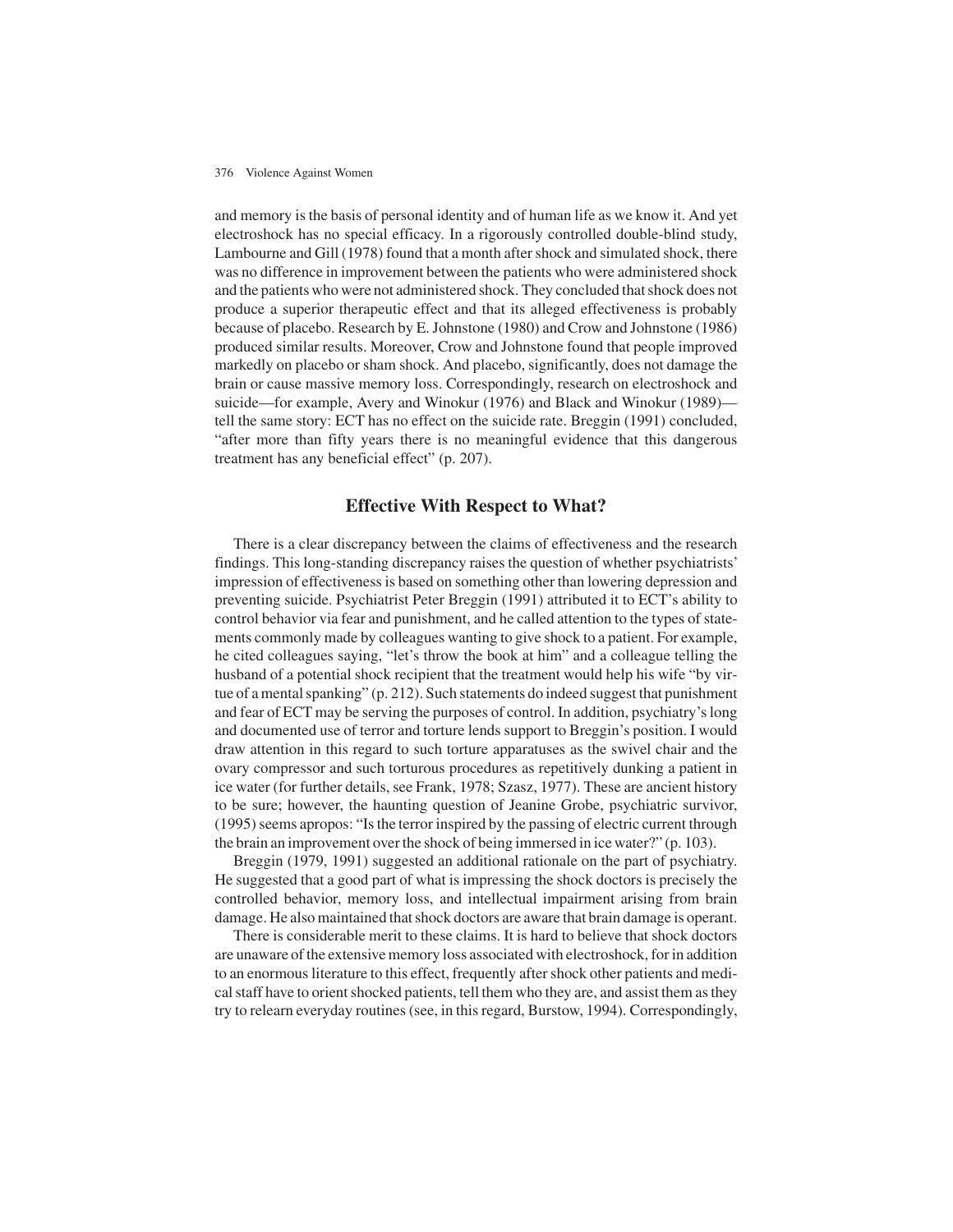and memory is the basis of personal identity and of human life as we know it. And yet electroshock has no special efficacy. In a rigorously controlled double-blind study, Lambourne and Gill (1978) found that a month after shock and simulated shock, there was no difference in improvement between the patients who were administered shock and the patients who were not administered shock. They concluded that shock does not produce a superior therapeutic effect and that its alleged effectiveness is probably because of placebo. Research by E. Johnstone (1980) and Crow and Johnstone (1986) produced similar results. Moreover, Crow and Johnstone found that people improved markedly on placebo or sham shock. And placebo, significantly, does not damage the brain or cause massive memory loss. Correspondingly, research on electroshock and suicide—for example, Avery and Winokur (1976) and Black and Winokur (1989) tell the same story: ECT has no effect on the suicide rate. Breggin (1991) concluded, "after more than fifty years there is no meaningful evidence that this dangerous treatment has any beneficial effect" (p. 207).

# **Effective With Respect to What?**

There is a clear discrepancy between the claims of effectiveness and the research findings. This long-standing discrepancy raises the question of whether psychiatrists' impression of effectiveness is based on something other than lowering depression and preventing suicide. Psychiatrist Peter Breggin (1991) attributed it to ECT's ability to control behavior via fear and punishment, and he called attention to the types of statements commonly made by colleagues wanting to give shock to a patient. For example, he cited colleagues saying, "let's throw the book at him" and a colleague telling the husband of a potential shock recipient that the treatment would help his wife "by virtue of a mental spanking" (p. 212). Such statements do indeed suggest that punishment and fear of ECT may be serving the purposes of control. In addition, psychiatry's long and documented use of terror and torture lends support to Breggin's position. I would draw attention in this regard to such torture apparatuses as the swivel chair and the ovary compressor and such torturous procedures as repetitively dunking a patient in ice water (for further details, see Frank, 1978; Szasz, 1977). These are ancient history to be sure; however, the haunting question of Jeanine Grobe, psychiatric survivor, (1995) seems apropos: "Is the terror inspired by the passing of electric current through the brain an improvement over the shock of being immersed in ice water?" (p. 103).

Breggin (1979, 1991) suggested an additional rationale on the part of psychiatry. He suggested that a good part of what is impressing the shock doctors is precisely the controlled behavior, memory loss, and intellectual impairment arising from brain damage. He also maintained that shock doctors are aware that brain damage is operant.

There is considerable merit to these claims. It is hard to believe that shock doctors are unaware of the extensive memory loss associated with electroshock, for in addition to an enormous literature to this effect, frequently after shock other patients and medical staff have to orient shocked patients, tell them who they are, and assist them as they try to relearn everyday routines (see, in this regard, Burstow, 1994). Correspondingly,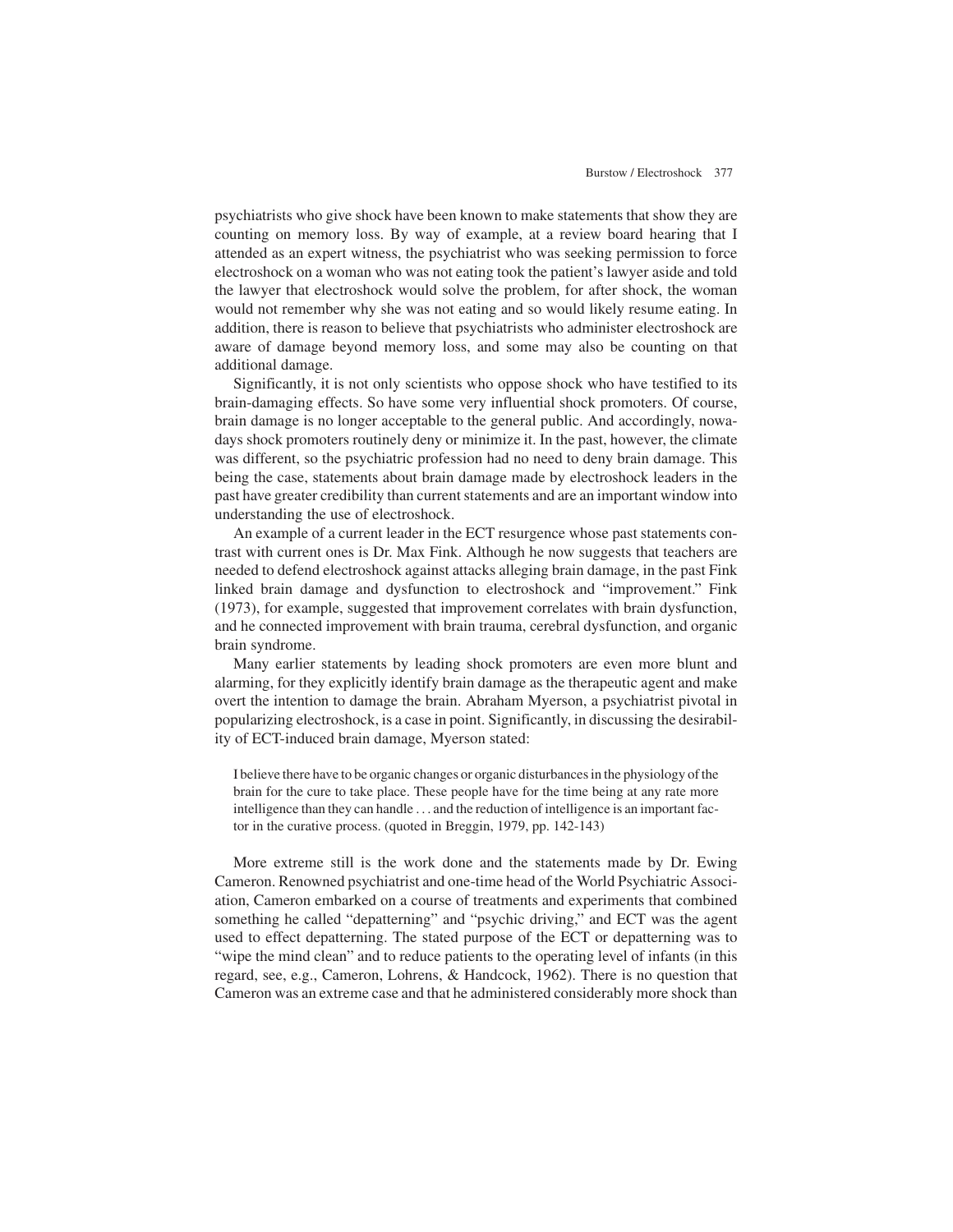psychiatrists who give shock have been known to make statements that show they are counting on memory loss. By way of example, at a review board hearing that I attended as an expert witness, the psychiatrist who was seeking permission to force electroshock on a woman who was not eating took the patient's lawyer aside and told the lawyer that electroshock would solve the problem, for after shock, the woman would not remember why she was not eating and so would likely resume eating. In addition, there is reason to believe that psychiatrists who administer electroshock are aware of damage beyond memory loss, and some may also be counting on that additional damage.

Significantly, it is not only scientists who oppose shock who have testified to its brain-damaging effects. So have some very influential shock promoters. Of course, brain damage is no longer acceptable to the general public. And accordingly, nowadays shock promoters routinely deny or minimize it. In the past, however, the climate was different, so the psychiatric profession had no need to deny brain damage. This being the case, statements about brain damage made by electroshock leaders in the past have greater credibility than current statements and are an important window into understanding the use of electroshock.

An example of a current leader in the ECT resurgence whose past statements contrast with current ones is Dr. Max Fink. Although he now suggests that teachers are needed to defend electroshock against attacks alleging brain damage, in the past Fink linked brain damage and dysfunction to electroshock and "improvement." Fink (1973), for example, suggested that improvement correlates with brain dysfunction, and he connected improvement with brain trauma, cerebral dysfunction, and organic brain syndrome.

Many earlier statements by leading shock promoters are even more blunt and alarming, for they explicitly identify brain damage as the therapeutic agent and make overt the intention to damage the brain. Abraham Myerson, a psychiatrist pivotal in popularizing electroshock, is a case in point. Significantly, in discussing the desirability of ECT-induced brain damage, Myerson stated:

I believe there have to be organic changes or organic disturbances in the physiology of the brain for the cure to take place. These people have for the time being at any rate more intelligence than they can handle . . . and the reduction of intelligence is an important factor in the curative process. (quoted in Breggin, 1979, pp. 142-143)

More extreme still is the work done and the statements made by Dr. Ewing Cameron. Renowned psychiatrist and one-time head of the World Psychiatric Association, Cameron embarked on a course of treatments and experiments that combined something he called "depatterning" and "psychic driving," and ECT was the agent used to effect depatterning. The stated purpose of the ECT or depatterning was to "wipe the mind clean" and to reduce patients to the operating level of infants (in this regard, see, e.g., Cameron, Lohrens, & Handcock, 1962). There is no question that Cameron was an extreme case and that he administered considerably more shock than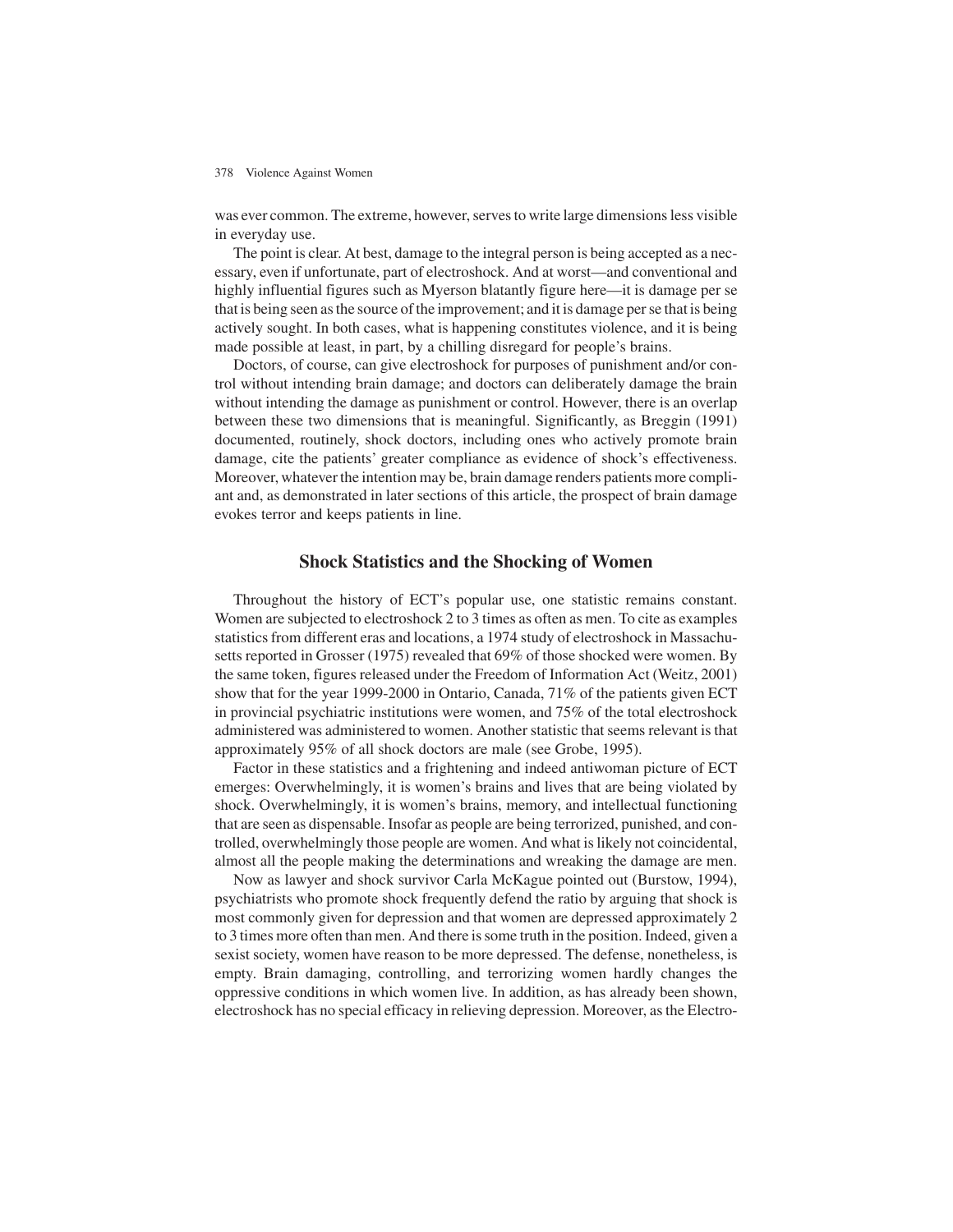was ever common. The extreme, however, serves to write large dimensions less visible in everyday use.

The point is clear. At best, damage to the integral person is being accepted as a necessary, even if unfortunate, part of electroshock. And at worst—and conventional and highly influential figures such as Myerson blatantly figure here—it is damage per se that is being seen as the source of the improvement; and it is damage per se that is being actively sought. In both cases, what is happening constitutes violence, and it is being made possible at least, in part, by a chilling disregard for people's brains.

Doctors, of course, can give electroshock for purposes of punishment and/or control without intending brain damage; and doctors can deliberately damage the brain without intending the damage as punishment or control. However, there is an overlap between these two dimensions that is meaningful. Significantly, as Breggin (1991) documented, routinely, shock doctors, including ones who actively promote brain damage, cite the patients' greater compliance as evidence of shock's effectiveness. Moreover, whatever the intention may be, brain damage renders patients more compliant and, as demonstrated in later sections of this article, the prospect of brain damage evokes terror and keeps patients in line.

## **Shock Statistics and the Shocking of Women**

Throughout the history of ECT's popular use, one statistic remains constant. Women are subjected to electroshock 2 to 3 times as often as men. To cite as examples statistics from different eras and locations, a 1974 study of electroshock in Massachusetts reported in Grosser (1975) revealed that 69% of those shocked were women. By the same token, figures released under the Freedom of Information Act (Weitz, 2001) show that for the year 1999-2000 in Ontario, Canada, 71% of the patients given ECT in provincial psychiatric institutions were women, and 75% of the total electroshock administered was administered to women. Another statistic that seems relevant is that approximately 95% of all shock doctors are male (see Grobe, 1995).

Factor in these statistics and a frightening and indeed antiwoman picture of ECT emerges: Overwhelmingly, it is women's brains and lives that are being violated by shock. Overwhelmingly, it is women's brains, memory, and intellectual functioning that are seen as dispensable. Insofar as people are being terrorized, punished, and controlled, overwhelmingly those people are women. And what is likely not coincidental, almost all the people making the determinations and wreaking the damage are men.

Now as lawyer and shock survivor Carla McKague pointed out (Burstow, 1994), psychiatrists who promote shock frequently defend the ratio by arguing that shock is most commonly given for depression and that women are depressed approximately 2 to 3 times more often than men. And there is some truth in the position. Indeed, given a sexist society, women have reason to be more depressed. The defense, nonetheless, is empty. Brain damaging, controlling, and terrorizing women hardly changes the oppressive conditions in which women live. In addition, as has already been shown, electroshock has no special efficacy in relieving depression. Moreover, as the Electro-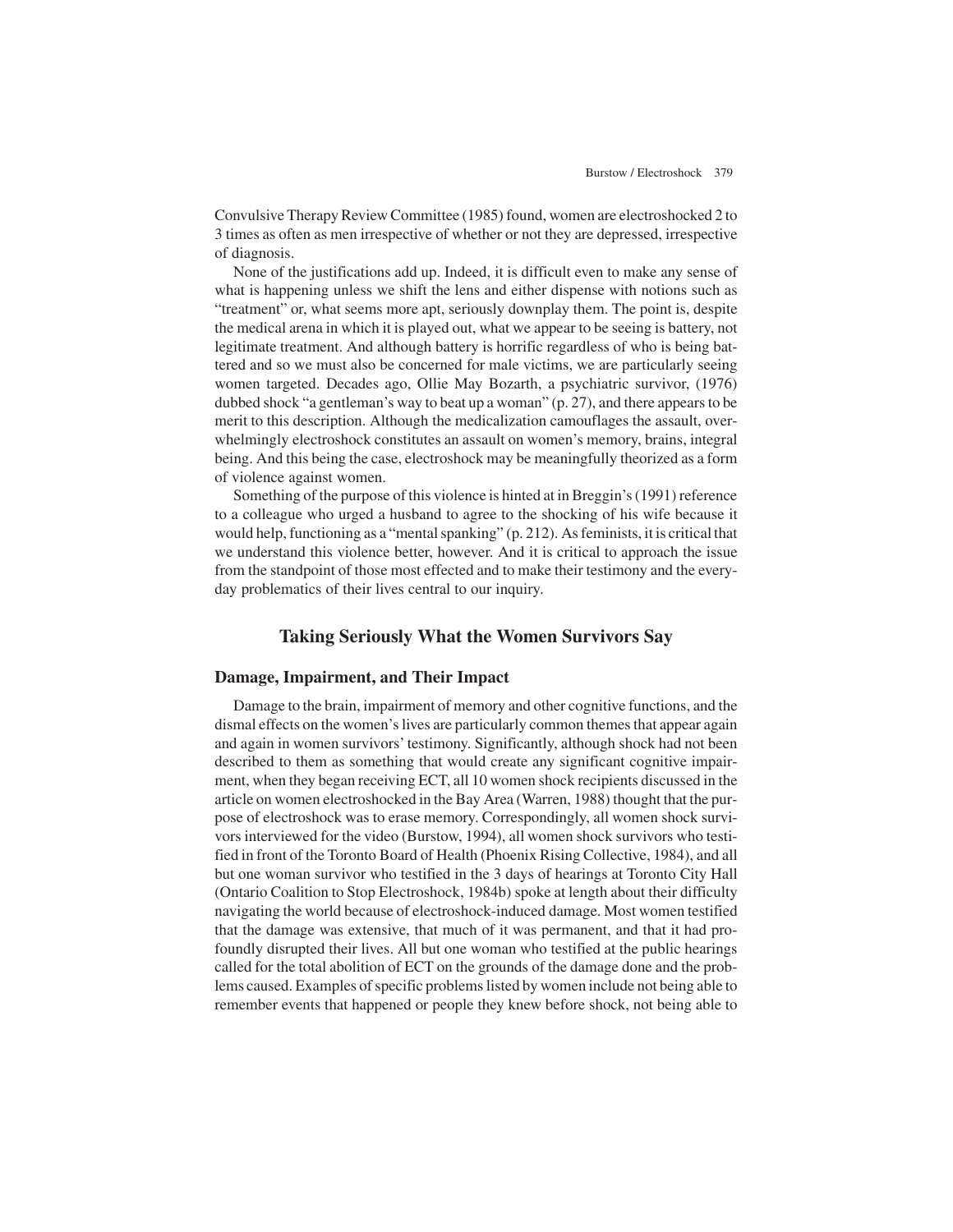Convulsive Therapy Review Committee (1985) found, women are electroshocked 2 to 3 times as often as men irrespective of whether or not they are depressed, irrespective of diagnosis.

None of the justifications add up. Indeed, it is difficult even to make any sense of what is happening unless we shift the lens and either dispense with notions such as "treatment" or, what seems more apt, seriously downplay them. The point is, despite the medical arena in which it is played out, what we appear to be seeing is battery, not legitimate treatment. And although battery is horrific regardless of who is being battered and so we must also be concerned for male victims, we are particularly seeing women targeted. Decades ago, Ollie May Bozarth, a psychiatric survivor, (1976) dubbed shock "a gentleman's way to beat up a woman" (p. 27), and there appears to be merit to this description. Although the medicalization camouflages the assault, overwhelmingly electroshock constitutes an assault on women's memory, brains, integral being. And this being the case, electroshock may be meaningfully theorized as a form of violence against women.

Something of the purpose of this violence is hinted at in Breggin's (1991) reference to a colleague who urged a husband to agree to the shocking of his wife because it would help, functioning as a "mental spanking" (p. 212). As feminists, it is critical that we understand this violence better, however. And it is critical to approach the issue from the standpoint of those most effected and to make their testimony and the everyday problematics of their lives central to our inquiry.

# **Taking Seriously What the Women Survivors Say**

## **Damage, Impairment, and Their Impact**

Damage to the brain, impairment of memory and other cognitive functions, and the dismal effects on the women's lives are particularly common themes that appear again and again in women survivors' testimony. Significantly, although shock had not been described to them as something that would create any significant cognitive impairment, when they began receiving ECT, all 10 women shock recipients discussed in the article on women electroshocked in the Bay Area (Warren, 1988) thought that the purpose of electroshock was to erase memory. Correspondingly, all women shock survivors interviewed for the video (Burstow, 1994), all women shock survivors who testified in front of the Toronto Board of Health (Phoenix Rising Collective, 1984), and all but one woman survivor who testified in the 3 days of hearings at Toronto City Hall (Ontario Coalition to Stop Electroshock, 1984b) spoke at length about their difficulty navigating the world because of electroshock-induced damage. Most women testified that the damage was extensive, that much of it was permanent, and that it had profoundly disrupted their lives. All but one woman who testified at the public hearings called for the total abolition of ECT on the grounds of the damage done and the problems caused. Examples of specific problems listed by women include not being able to remember events that happened or people they knew before shock, not being able to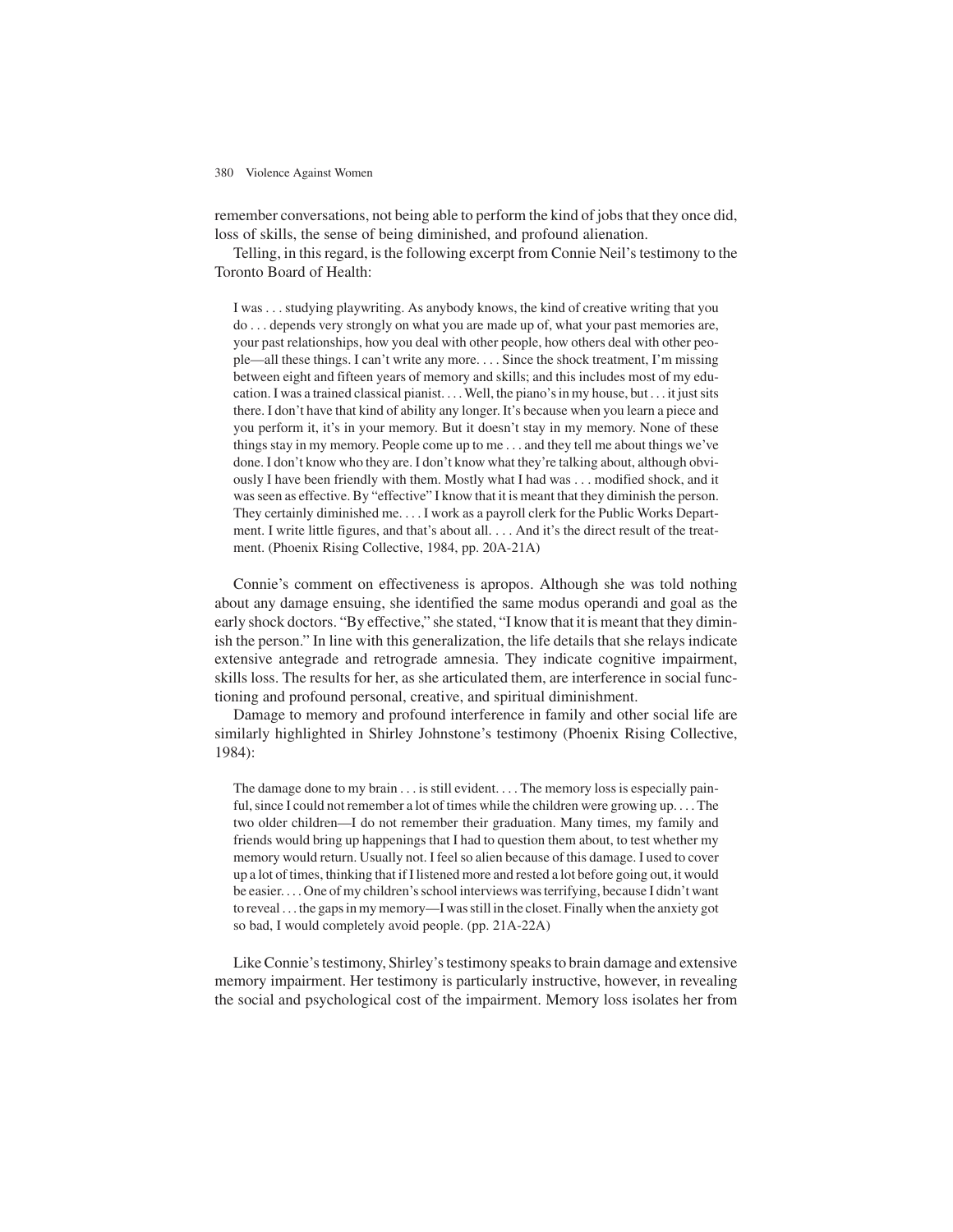remember conversations, not being able to perform the kind of jobs that they once did, loss of skills, the sense of being diminished, and profound alienation.

Telling, in this regard, is the following excerpt from Connie Neil's testimony to the Toronto Board of Health:

I was . . . studying playwriting. As anybody knows, the kind of creative writing that you do . . . depends very strongly on what you are made up of, what your past memories are, your past relationships, how you deal with other people, how others deal with other people—all these things. I can't write any more. . . . Since the shock treatment, I'm missing between eight and fifteen years of memory and skills; and this includes most of my education. I was a trained classical pianist. ...Well, the piano's in my house, but . . . it just sits there. I don't have that kind of ability any longer. It's because when you learn a piece and you perform it, it's in your memory. But it doesn't stay in my memory. None of these things stay in my memory. People come up to me . . . and they tell me about things we've done. I don't know who they are. I don't know what they're talking about, although obviously I have been friendly with them. Mostly what I had was . . . modified shock, and it was seen as effective. By "effective" I know that it is meant that they diminish the person. They certainly diminished me. . . . I work as a payroll clerk for the Public Works Department. I write little figures, and that's about all. . . . And it's the direct result of the treatment. (Phoenix Rising Collective, 1984, pp. 20A-21A)

Connie's comment on effectiveness is apropos. Although she was told nothing about any damage ensuing, she identified the same modus operandi and goal as the early shock doctors. "By effective," she stated, "I know that it is meant that they diminish the person." In line with this generalization, the life details that she relays indicate extensive antegrade and retrograde amnesia. They indicate cognitive impairment, skills loss. The results for her, as she articulated them, are interference in social functioning and profound personal, creative, and spiritual diminishment.

Damage to memory and profound interference in family and other social life are similarly highlighted in Shirley Johnstone's testimony (Phoenix Rising Collective, 1984):

The damage done to my brain . . . is still evident. . . . The memory loss is especially painful, since I could not remember a lot of times while the children were growing up. . . . The two older children—I do not remember their graduation. Many times, my family and friends would bring up happenings that I had to question them about, to test whether my memory would return. Usually not. I feel so alien because of this damage. I used to cover up a lot of times, thinking that if I listened more and rested a lot before going out, it would be easier. . . . One of my children's school interviews was terrifying, because I didn't want to reveal . . . the gaps in my memory—I was still in the closet. Finally when the anxiety got so bad, I would completely avoid people. (pp. 21A-22A)

Like Connie's testimony, Shirley's testimony speaks to brain damage and extensive memory impairment. Her testimony is particularly instructive, however, in revealing the social and psychological cost of the impairment. Memory loss isolates her from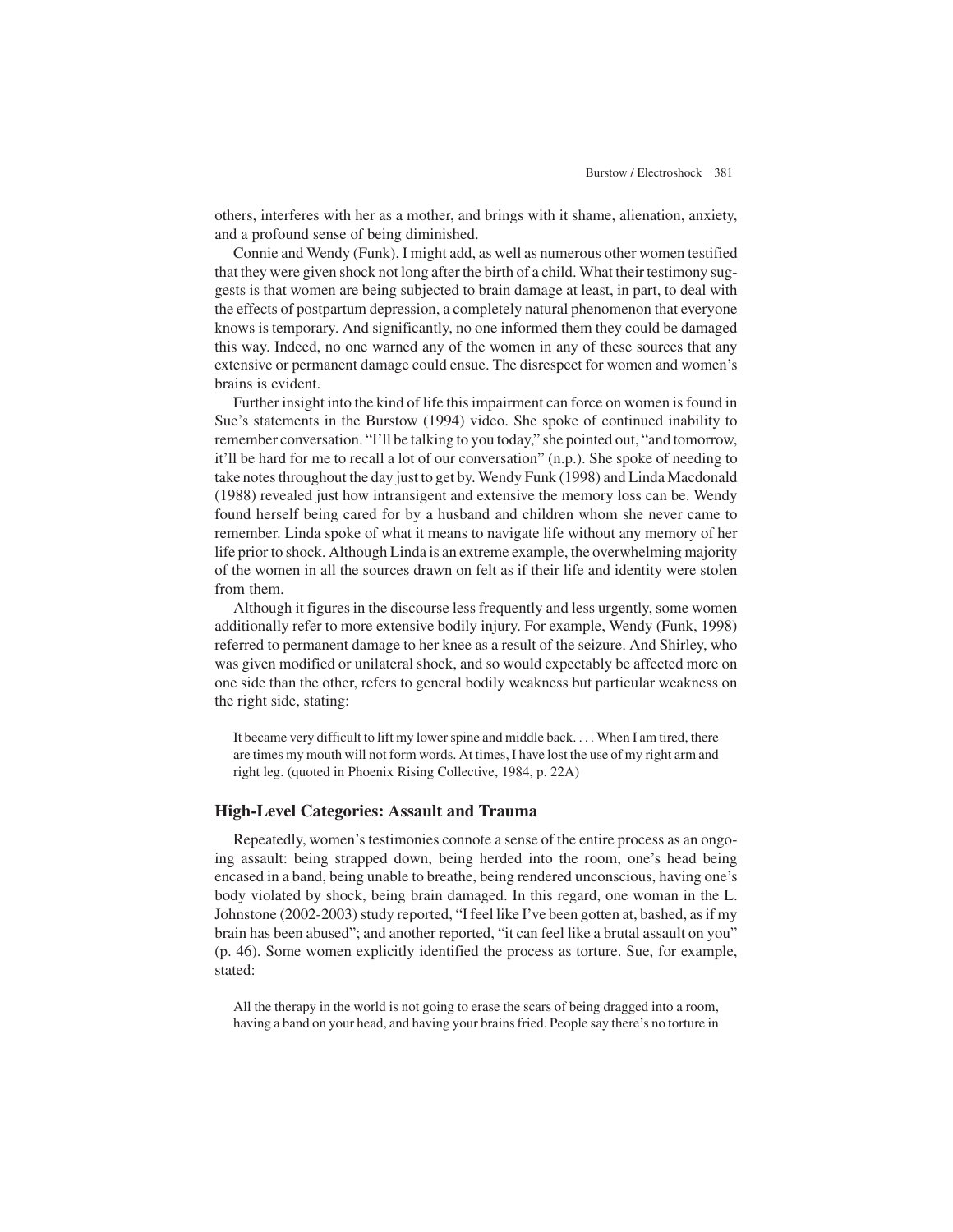others, interferes with her as a mother, and brings with it shame, alienation, anxiety, and a profound sense of being diminished.

Connie and Wendy (Funk), I might add, as well as numerous other women testified that they were given shock not long after the birth of a child. What their testimony suggests is that women are being subjected to brain damage at least, in part, to deal with the effects of postpartum depression, a completely natural phenomenon that everyone knows is temporary. And significantly, no one informed them they could be damaged this way. Indeed, no one warned any of the women in any of these sources that any extensive or permanent damage could ensue. The disrespect for women and women's brains is evident.

Further insight into the kind of life this impairment can force on women is found in Sue's statements in the Burstow (1994) video. She spoke of continued inability to remember conversation. "I'll be talking to you today," she pointed out, "and tomorrow, it'll be hard for me to recall a lot of our conversation" (n.p.). She spoke of needing to take notes throughout the day just to get by. Wendy Funk (1998) and Linda Macdonald (1988) revealed just how intransigent and extensive the memory loss can be. Wendy found herself being cared for by a husband and children whom she never came to remember. Linda spoke of what it means to navigate life without any memory of her life prior to shock. Although Linda is an extreme example, the overwhelming majority of the women in all the sources drawn on felt as if their life and identity were stolen from them.

Although it figures in the discourse less frequently and less urgently, some women additionally refer to more extensive bodily injury. For example, Wendy (Funk, 1998) referred to permanent damage to her knee as a result of the seizure. And Shirley, who was given modified or unilateral shock, and so would expectably be affected more on one side than the other, refers to general bodily weakness but particular weakness on the right side, stating:

It became very difficult to lift my lower spine and middle back. . . . When I am tired, there are times my mouth will not form words. At times, I have lost the use of my right arm and right leg. (quoted in Phoenix Rising Collective, 1984, p. 22A)

## **High-Level Categories: Assault and Trauma**

Repeatedly, women's testimonies connote a sense of the entire process as an ongoing assault: being strapped down, being herded into the room, one's head being encased in a band, being unable to breathe, being rendered unconscious, having one's body violated by shock, being brain damaged. In this regard, one woman in the L. Johnstone (2002-2003) study reported, "I feel like I've been gotten at, bashed, as if my brain has been abused"; and another reported, "it can feel like a brutal assault on you" (p. 46). Some women explicitly identified the process as torture. Sue, for example, stated:

All the therapy in the world is not going to erase the scars of being dragged into a room, having a band on your head, and having your brains fried. People say there's no torture in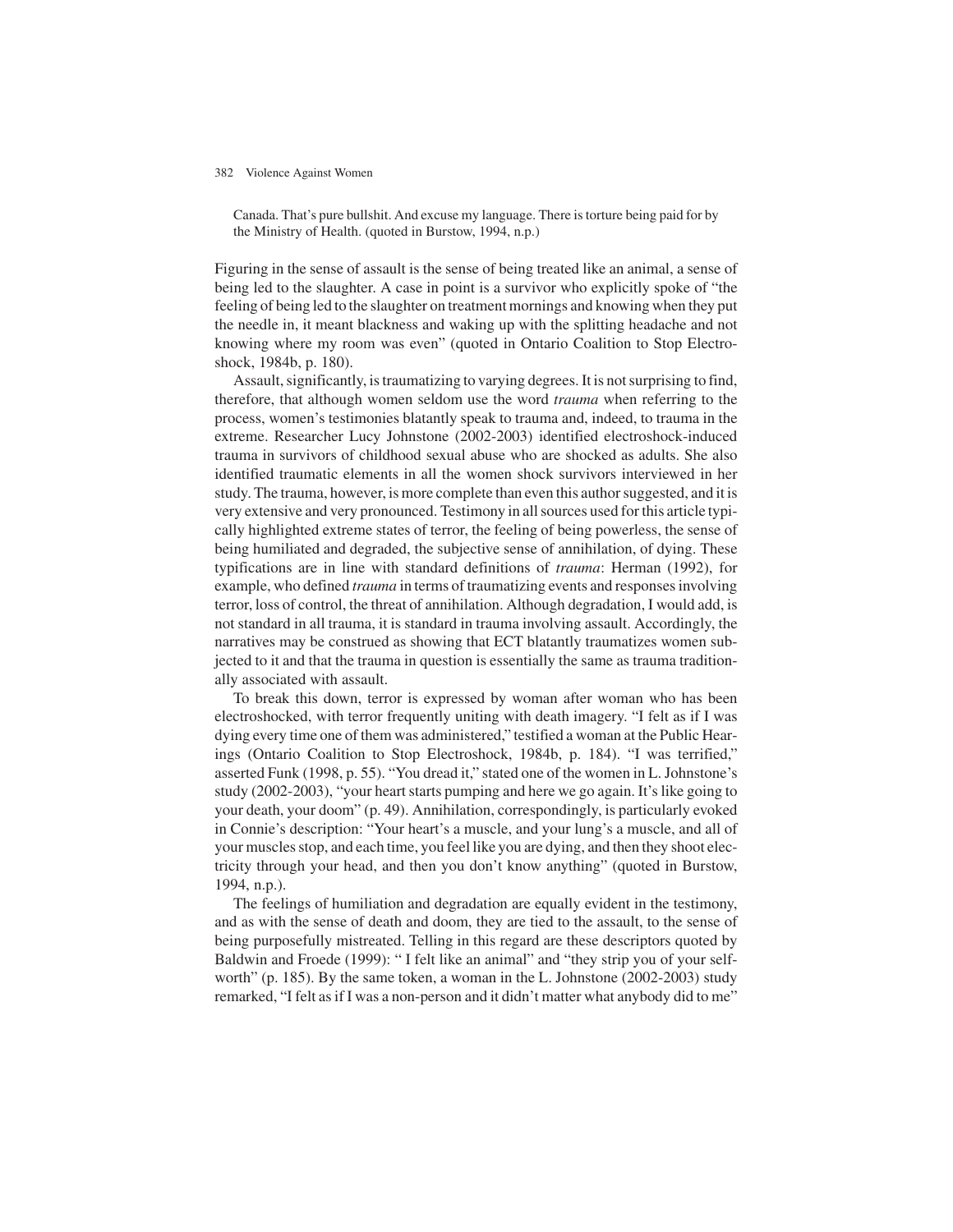Canada. That's pure bullshit. And excuse my language. There is torture being paid for by the Ministry of Health. (quoted in Burstow, 1994, n.p.)

Figuring in the sense of assault is the sense of being treated like an animal, a sense of being led to the slaughter. A case in point is a survivor who explicitly spoke of "the feeling of being led to the slaughter on treatment mornings and knowing when they put the needle in, it meant blackness and waking up with the splitting headache and not knowing where my room was even" (quoted in Ontario Coalition to Stop Electroshock, 1984b, p. 180).

Assault, significantly, is traumatizing to varying degrees. It is not surprising to find, therefore, that although women seldom use the word *trauma* when referring to the process, women's testimonies blatantly speak to trauma and, indeed, to trauma in the extreme. Researcher Lucy Johnstone (2002-2003) identified electroshock-induced trauma in survivors of childhood sexual abuse who are shocked as adults. She also identified traumatic elements in all the women shock survivors interviewed in her study. The trauma, however, is more complete than even this author suggested, and it is very extensive and very pronounced. Testimony in all sources used for this article typically highlighted extreme states of terror, the feeling of being powerless, the sense of being humiliated and degraded, the subjective sense of annihilation, of dying. These typifications are in line with standard definitions of *trauma*: Herman (1992), for example, who defined *trauma* in terms of traumatizing events and responses involving terror, loss of control, the threat of annihilation. Although degradation, I would add, is not standard in all trauma, it is standard in trauma involving assault. Accordingly, the narratives may be construed as showing that ECT blatantly traumatizes women subjected to it and that the trauma in question is essentially the same as trauma traditionally associated with assault.

To break this down, terror is expressed by woman after woman who has been electroshocked, with terror frequently uniting with death imagery. "I felt as if I was dying every time one of them was administered," testified a woman at the Public Hearings (Ontario Coalition to Stop Electroshock, 1984b, p. 184). "I was terrified," asserted Funk (1998, p. 55). "You dread it," stated one of the women in L. Johnstone's study (2002-2003), "your heart starts pumping and here we go again. It's like going to your death, your doom" (p. 49). Annihilation, correspondingly, is particularly evoked in Connie's description: "Your heart's a muscle, and your lung's a muscle, and all of your muscles stop, and each time, you feel like you are dying, and then they shoot electricity through your head, and then you don't know anything" (quoted in Burstow, 1994, n.p.).

The feelings of humiliation and degradation are equally evident in the testimony, and as with the sense of death and doom, they are tied to the assault, to the sense of being purposefully mistreated. Telling in this regard are these descriptors quoted by Baldwin and Froede (1999): " I felt like an animal" and "they strip you of your selfworth" (p. 185). By the same token, a woman in the L. Johnstone (2002-2003) study remarked, "I felt as if I was a non-person and it didn't matter what anybody did to me"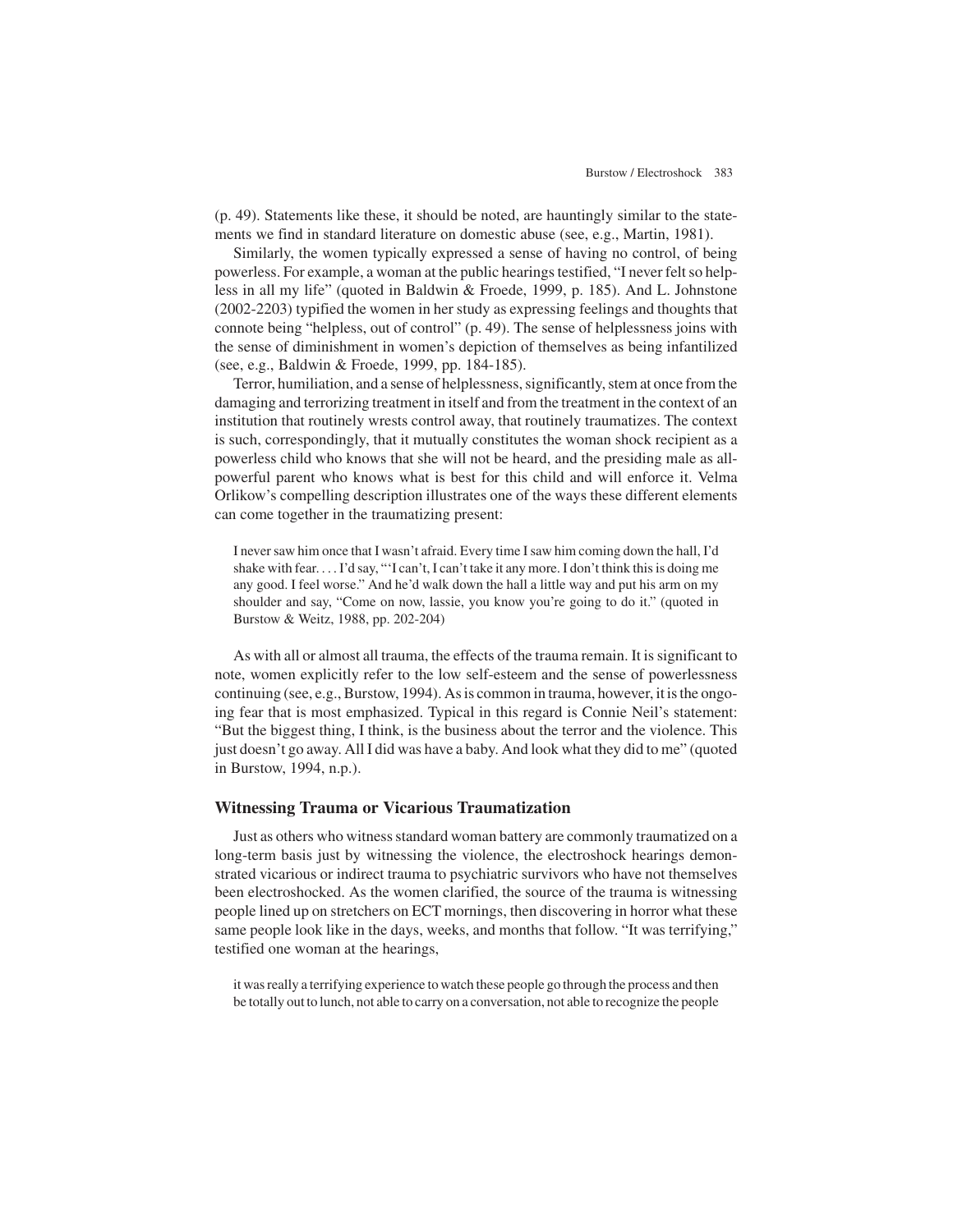(p. 49). Statements like these, it should be noted, are hauntingly similar to the statements we find in standard literature on domestic abuse (see, e.g., Martin, 1981).

Similarly, the women typically expressed a sense of having no control, of being powerless. For example, a woman at the public hearings testified, "I never felt so helpless in all my life" (quoted in Baldwin & Froede, 1999, p. 185). And L. Johnstone (2002-2203) typified the women in her study as expressing feelings and thoughts that connote being "helpless, out of control" (p. 49). The sense of helplessness joins with the sense of diminishment in women's depiction of themselves as being infantilized (see, e.g., Baldwin & Froede, 1999, pp. 184-185).

Terror, humiliation, and a sense of helplessness, significantly, stem at once from the damaging and terrorizing treatment in itself and from the treatment in the context of an institution that routinely wrests control away, that routinely traumatizes. The context is such, correspondingly, that it mutually constitutes the woman shock recipient as a powerless child who knows that she will not be heard, and the presiding male as allpowerful parent who knows what is best for this child and will enforce it. Velma Orlikow's compelling description illustrates one of the ways these different elements can come together in the traumatizing present:

I never saw him once that I wasn't afraid. Every time I saw him coming down the hall, I'd shake with fear. . . . I'd say, "'I can't, I can't take it any more. I don't think this is doing me any good. I feel worse." And he'd walk down the hall a little way and put his arm on my shoulder and say, "Come on now, lassie, you know you're going to do it." (quoted in Burstow & Weitz, 1988, pp. 202-204)

As with all or almost all trauma, the effects of the trauma remain. It is significant to note, women explicitly refer to the low self-esteem and the sense of powerlessness continuing (see, e.g., Burstow, 1994). As is common in trauma, however, it is the ongoing fear that is most emphasized. Typical in this regard is Connie Neil's statement: "But the biggest thing, I think, is the business about the terror and the violence. This just doesn't go away. All I did was have a baby. And look what they did to me" (quoted in Burstow, 1994, n.p.).

## **Witnessing Trauma or Vicarious Traumatization**

Just as others who witness standard woman battery are commonly traumatized on a long-term basis just by witnessing the violence, the electroshock hearings demonstrated vicarious or indirect trauma to psychiatric survivors who have not themselves been electroshocked. As the women clarified, the source of the trauma is witnessing people lined up on stretchers on ECT mornings, then discovering in horror what these same people look like in the days, weeks, and months that follow. "It was terrifying," testified one woman at the hearings,

it was really a terrifying experience to watch these people go through the process and then be totally out to lunch, not able to carry on a conversation, not able to recognize the people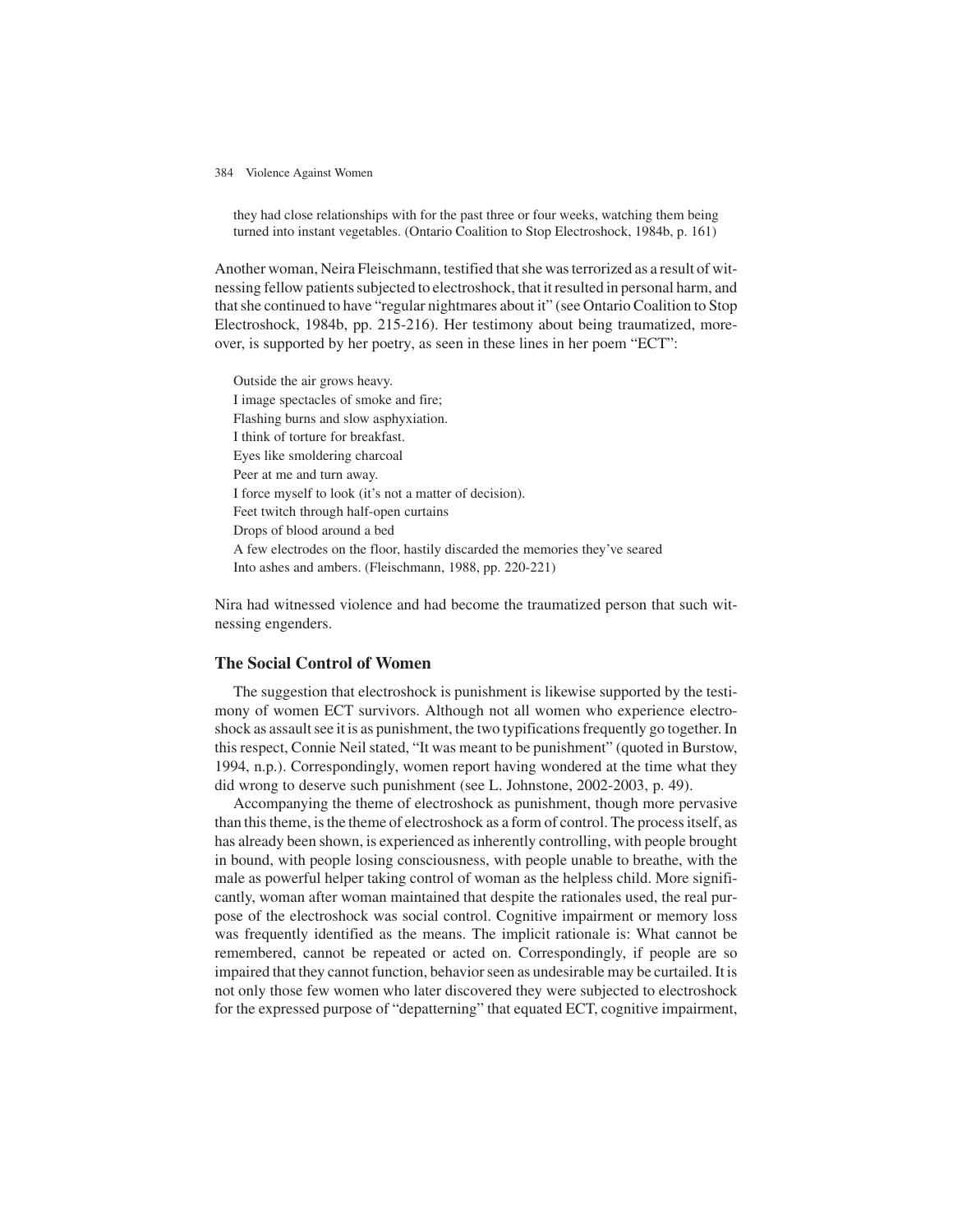they had close relationships with for the past three or four weeks, watching them being turned into instant vegetables. (Ontario Coalition to Stop Electroshock, 1984b, p. 161)

Another woman, Neira Fleischmann, testified that she was terrorized as a result of witnessing fellow patients subjected to electroshock, that it resulted in personal harm, and that she continued to have "regular nightmares about it" (see Ontario Coalition to Stop Electroshock, 1984b, pp. 215-216). Her testimony about being traumatized, moreover, is supported by her poetry, as seen in these lines in her poem "ECT":

Outside the air grows heavy. I image spectacles of smoke and fire; Flashing burns and slow asphyxiation. I think of torture for breakfast. Eyes like smoldering charcoal Peer at me and turn away. I force myself to look (it's not a matter of decision). Feet twitch through half-open curtains Drops of blood around a bed A few electrodes on the floor, hastily discarded the memories they've seared Into ashes and ambers. (Fleischmann, 1988, pp. 220-221)

Nira had witnessed violence and had become the traumatized person that such witnessing engenders.

## **The Social Control of Women**

The suggestion that electroshock is punishment is likewise supported by the testimony of women ECT survivors. Although not all women who experience electroshock as assault see it is as punishment, the two typifications frequently go together. In this respect, Connie Neil stated, "It was meant to be punishment" (quoted in Burstow, 1994, n.p.). Correspondingly, women report having wondered at the time what they did wrong to deserve such punishment (see L. Johnstone, 2002-2003, p. 49).

Accompanying the theme of electroshock as punishment, though more pervasive than this theme, is the theme of electroshock as a form of control. The process itself, as has already been shown, is experienced as inherently controlling, with people brought in bound, with people losing consciousness, with people unable to breathe, with the male as powerful helper taking control of woman as the helpless child. More significantly, woman after woman maintained that despite the rationales used, the real purpose of the electroshock was social control. Cognitive impairment or memory loss was frequently identified as the means. The implicit rationale is: What cannot be remembered, cannot be repeated or acted on. Correspondingly, if people are so impaired that they cannot function, behavior seen as undesirable may be curtailed. It is not only those few women who later discovered they were subjected to electroshock for the expressed purpose of "depatterning" that equated ECT, cognitive impairment,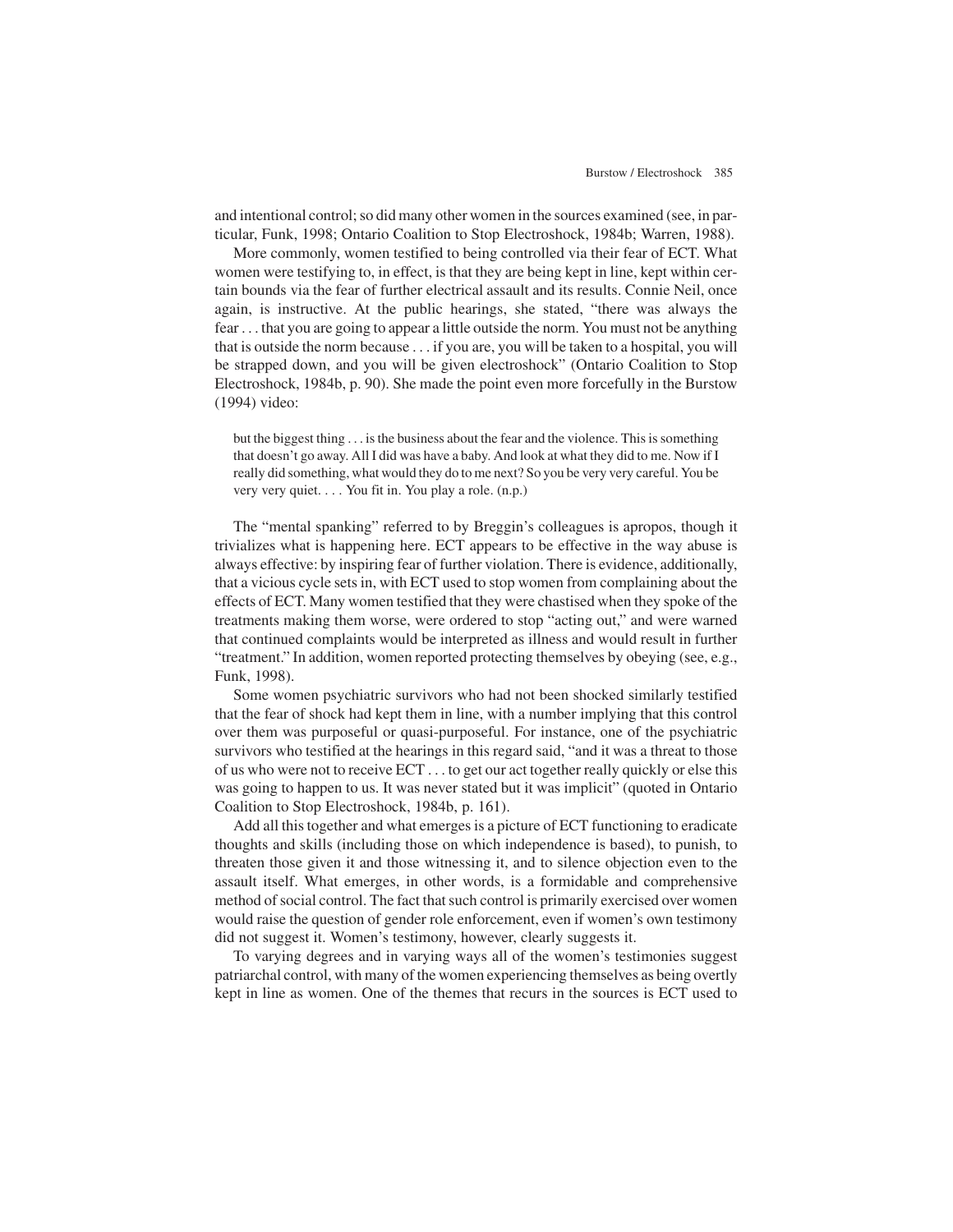and intentional control; so did many other women in the sources examined (see, in particular, Funk, 1998; Ontario Coalition to Stop Electroshock, 1984b; Warren, 1988).

More commonly, women testified to being controlled via their fear of ECT. What women were testifying to, in effect, is that they are being kept in line, kept within certain bounds via the fear of further electrical assault and its results. Connie Neil, once again, is instructive. At the public hearings, she stated, "there was always the fear . . . that you are going to appear a little outside the norm. You must not be anything that is outside the norm because . . . if you are, you will be taken to a hospital, you will be strapped down, and you will be given electroshock" (Ontario Coalition to Stop Electroshock, 1984b, p. 90). She made the point even more forcefully in the Burstow (1994) video:

but the biggest thing . . . is the business about the fear and the violence. This is something that doesn't go away. All I did was have a baby. And look at what they did to me. Now if I really did something, what would they do to me next? So you be very very careful. You be very very quiet. . . . You fit in. You play a role. (n.p.)

The "mental spanking" referred to by Breggin's colleagues is apropos, though it trivializes what is happening here. ECT appears to be effective in the way abuse is always effective: by inspiring fear of further violation. There is evidence, additionally, that a vicious cycle sets in, with ECT used to stop women from complaining about the effects of ECT. Many women testified that they were chastised when they spoke of the treatments making them worse, were ordered to stop "acting out," and were warned that continued complaints would be interpreted as illness and would result in further "treatment." In addition, women reported protecting themselves by obeying (see, e.g., Funk, 1998).

Some women psychiatric survivors who had not been shocked similarly testified that the fear of shock had kept them in line, with a number implying that this control over them was purposeful or quasi-purposeful. For instance, one of the psychiatric survivors who testified at the hearings in this regard said, "and it was a threat to those of us who were not to receive ECT . . . to get our act together really quickly or else this was going to happen to us. It was never stated but it was implicit" (quoted in Ontario Coalition to Stop Electroshock, 1984b, p. 161).

Add all this together and what emerges is a picture of ECT functioning to eradicate thoughts and skills (including those on which independence is based), to punish, to threaten those given it and those witnessing it, and to silence objection even to the assault itself. What emerges, in other words, is a formidable and comprehensive method of social control. The fact that such control is primarily exercised over women would raise the question of gender role enforcement, even if women's own testimony did not suggest it. Women's testimony, however, clearly suggests it.

To varying degrees and in varying ways all of the women's testimonies suggest patriarchal control, with many of the women experiencing themselves as being overtly kept in line as women. One of the themes that recurs in the sources is ECT used to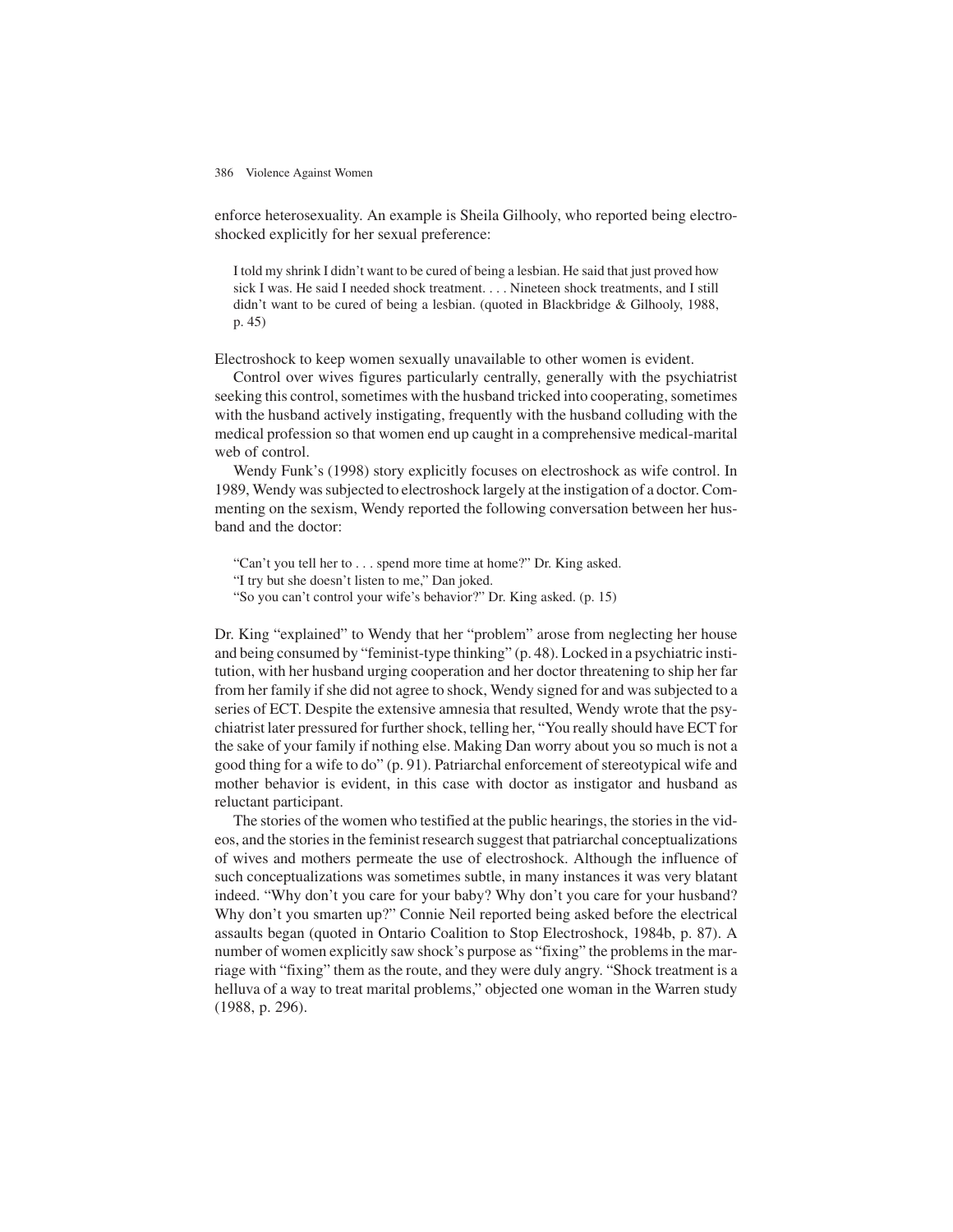enforce heterosexuality. An example is Sheila Gilhooly, who reported being electroshocked explicitly for her sexual preference:

I told my shrink I didn't want to be cured of being a lesbian. He said that just proved how sick I was. He said I needed shock treatment. . . . Nineteen shock treatments, and I still didn't want to be cured of being a lesbian. (quoted in Blackbridge & Gilhooly, 1988, p. 45)

Electroshock to keep women sexually unavailable to other women is evident.

Control over wives figures particularly centrally, generally with the psychiatrist seeking this control, sometimes with the husband tricked into cooperating, sometimes with the husband actively instigating, frequently with the husband colluding with the medical profession so that women end up caught in a comprehensive medical-marital web of control.

Wendy Funk's (1998) story explicitly focuses on electroshock as wife control. In 1989, Wendy was subjected to electroshock largely at the instigation of a doctor. Commenting on the sexism, Wendy reported the following conversation between her husband and the doctor:

"Can't you tell her to . . . spend more time at home?" Dr. King asked.

"So you can't control your wife's behavior?" Dr. King asked. (p. 15)

Dr. King "explained" to Wendy that her "problem" arose from neglecting her house and being consumed by "feminist-type thinking" (p. 48). Locked in a psychiatric institution, with her husband urging cooperation and her doctor threatening to ship her far from her family if she did not agree to shock, Wendy signed for and was subjected to a series of ECT. Despite the extensive amnesia that resulted, Wendy wrote that the psychiatrist later pressured for further shock, telling her, "You really should have ECT for the sake of your family if nothing else. Making Dan worry about you so much is not a good thing for a wife to do" (p. 91). Patriarchal enforcement of stereotypical wife and mother behavior is evident, in this case with doctor as instigator and husband as reluctant participant.

The stories of the women who testified at the public hearings, the stories in the videos, and the stories in the feminist research suggest that patriarchal conceptualizations of wives and mothers permeate the use of electroshock. Although the influence of such conceptualizations was sometimes subtle, in many instances it was very blatant indeed. "Why don't you care for your baby? Why don't you care for your husband? Why don't you smarten up?" Connie Neil reported being asked before the electrical assaults began (quoted in Ontario Coalition to Stop Electroshock, 1984b, p. 87). A number of women explicitly saw shock's purpose as "fixing" the problems in the marriage with "fixing" them as the route, and they were duly angry. "Shock treatment is a helluva of a way to treat marital problems," objected one woman in the Warren study (1988, p. 296).

<sup>&</sup>quot;I try but she doesn't listen to me," Dan joked.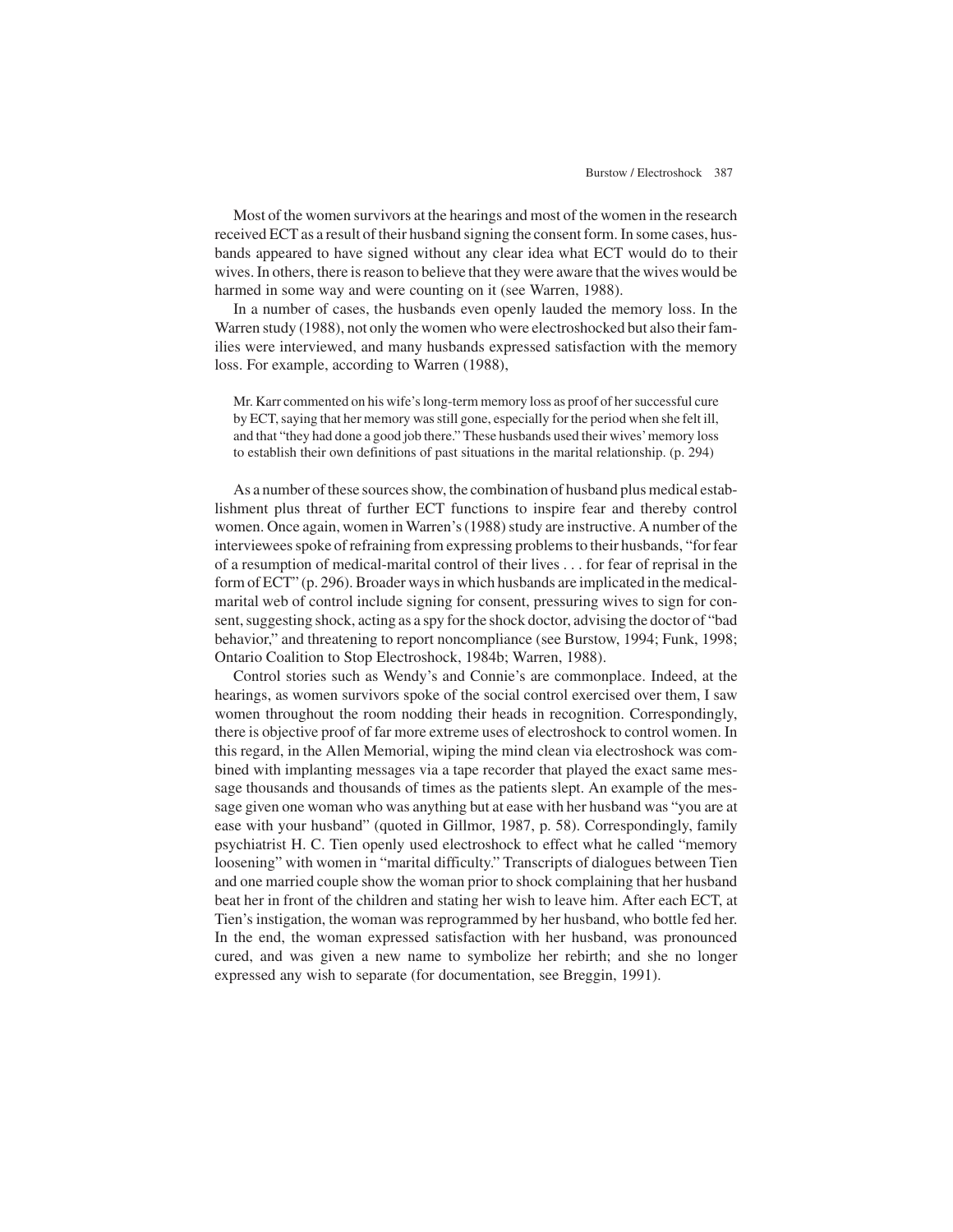Most of the women survivors at the hearings and most of the women in the research received ECT as a result of their husband signing the consent form. In some cases, husbands appeared to have signed without any clear idea what ECT would do to their wives. In others, there is reason to believe that they were aware that the wives would be harmed in some way and were counting on it (see Warren, 1988).

In a number of cases, the husbands even openly lauded the memory loss. In the Warren study (1988), not only the women who were electroshocked but also their families were interviewed, and many husbands expressed satisfaction with the memory loss. For example, according to Warren (1988),

Mr. Karr commented on his wife's long-term memory loss as proof of her successful cure by ECT, saying that her memory was still gone, especially for the period when she felt ill, and that "they had done a good job there." These husbands used their wives'memory loss to establish their own definitions of past situations in the marital relationship. (p. 294)

As a number of these sources show, the combination of husband plus medical establishment plus threat of further ECT functions to inspire fear and thereby control women. Once again, women in Warren's (1988) study are instructive. A number of the interviewees spoke of refraining from expressing problems to their husbands, "for fear of a resumption of medical-marital control of their lives . . . for fear of reprisal in the form of ECT" (p. 296). Broader ways in which husbands are implicated in the medicalmarital web of control include signing for consent, pressuring wives to sign for consent, suggesting shock, acting as a spy for the shock doctor, advising the doctor of "bad behavior," and threatening to report noncompliance (see Burstow, 1994; Funk, 1998; Ontario Coalition to Stop Electroshock, 1984b; Warren, 1988).

Control stories such as Wendy's and Connie's are commonplace. Indeed, at the hearings, as women survivors spoke of the social control exercised over them, I saw women throughout the room nodding their heads in recognition. Correspondingly, there is objective proof of far more extreme uses of electroshock to control women. In this regard, in the Allen Memorial, wiping the mind clean via electroshock was combined with implanting messages via a tape recorder that played the exact same message thousands and thousands of times as the patients slept. An example of the message given one woman who was anything but at ease with her husband was "you are at ease with your husband" (quoted in Gillmor, 1987, p. 58). Correspondingly, family psychiatrist H. C. Tien openly used electroshock to effect what he called "memory loosening" with women in "marital difficulty." Transcripts of dialogues between Tien and one married couple show the woman prior to shock complaining that her husband beat her in front of the children and stating her wish to leave him. After each ECT, at Tien's instigation, the woman was reprogrammed by her husband, who bottle fed her. In the end, the woman expressed satisfaction with her husband, was pronounced cured, and was given a new name to symbolize her rebirth; and she no longer expressed any wish to separate (for documentation, see Breggin, 1991).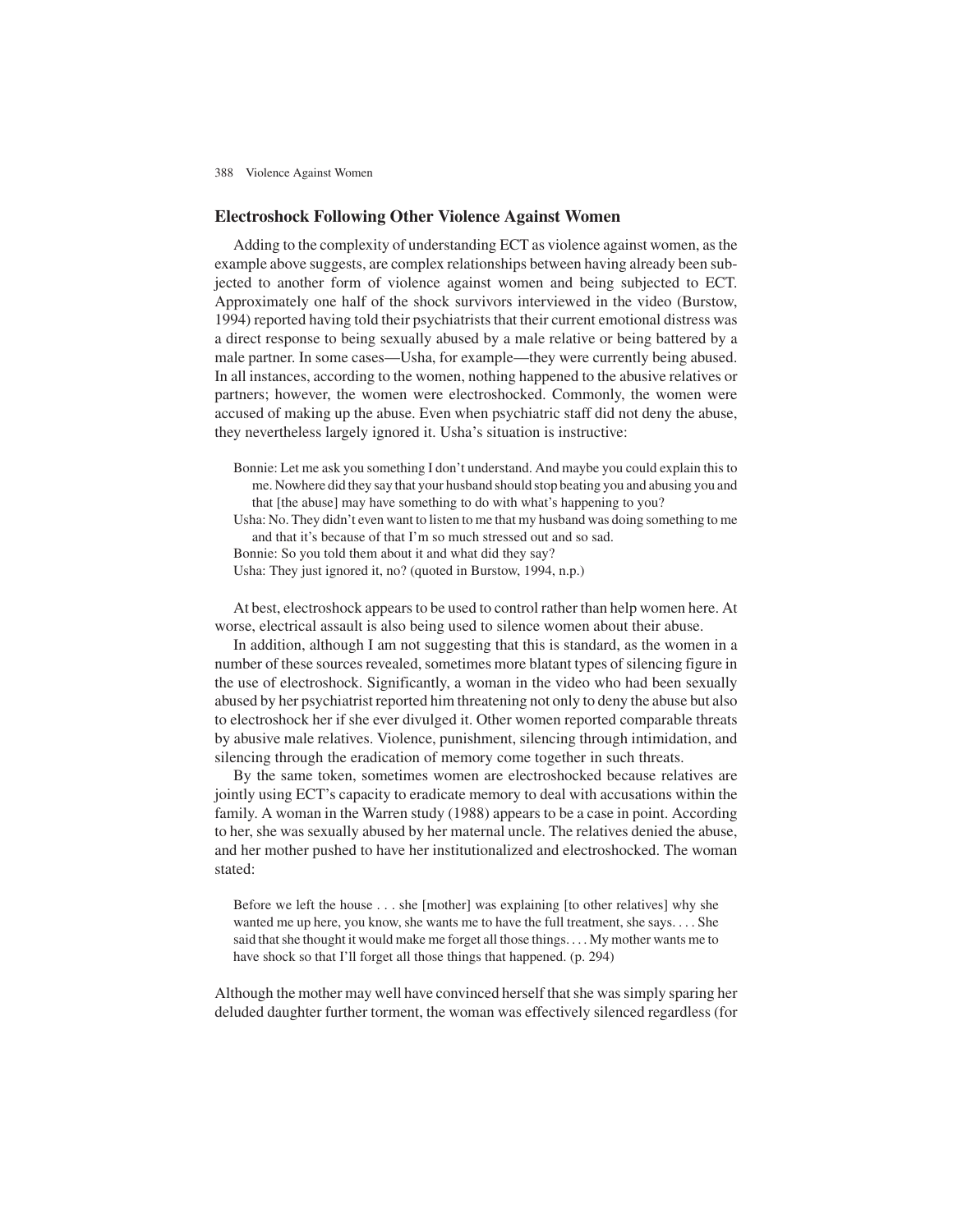## **Electroshock Following Other Violence Against Women**

Adding to the complexity of understanding ECT as violence against women, as the example above suggests, are complex relationships between having already been subjected to another form of violence against women and being subjected to ECT. Approximately one half of the shock survivors interviewed in the video (Burstow, 1994) reported having told their psychiatrists that their current emotional distress was a direct response to being sexually abused by a male relative or being battered by a male partner. In some cases—Usha, for example—they were currently being abused. In all instances, according to the women, nothing happened to the abusive relatives or partners; however, the women were electroshocked. Commonly, the women were accused of making up the abuse. Even when psychiatric staff did not deny the abuse, they nevertheless largely ignored it. Usha's situation is instructive:

Bonnie: Let me ask you something I don't understand. And maybe you could explain this to me. Nowhere did they say that your husband should stop beating you and abusing you and that [the abuse] may have something to do with what's happening to you?

Usha: No. They didn't even want to listen to me that my husband was doing something to me and that it's because of that I'm so much stressed out and so sad.

Bonnie: So you told them about it and what did they say?

Usha: They just ignored it, no? (quoted in Burstow, 1994, n.p.)

At best, electroshock appears to be used to control rather than help women here. At worse, electrical assault is also being used to silence women about their abuse.

In addition, although I am not suggesting that this is standard, as the women in a number of these sources revealed, sometimes more blatant types of silencing figure in the use of electroshock. Significantly, a woman in the video who had been sexually abused by her psychiatrist reported him threatening not only to deny the abuse but also to electroshock her if she ever divulged it. Other women reported comparable threats by abusive male relatives. Violence, punishment, silencing through intimidation, and silencing through the eradication of memory come together in such threats.

By the same token, sometimes women are electroshocked because relatives are jointly using ECT's capacity to eradicate memory to deal with accusations within the family. A woman in the Warren study (1988) appears to be a case in point. According to her, she was sexually abused by her maternal uncle. The relatives denied the abuse, and her mother pushed to have her institutionalized and electroshocked. The woman stated:

Before we left the house . . . she [mother] was explaining [to other relatives] why she wanted me up here, you know, she wants me to have the full treatment, she says. . . . She said that she thought it would make me forget all those things. . . . My mother wants me to have shock so that I'll forget all those things that happened. (p. 294)

Although the mother may well have convinced herself that she was simply sparing her deluded daughter further torment, the woman was effectively silenced regardless (for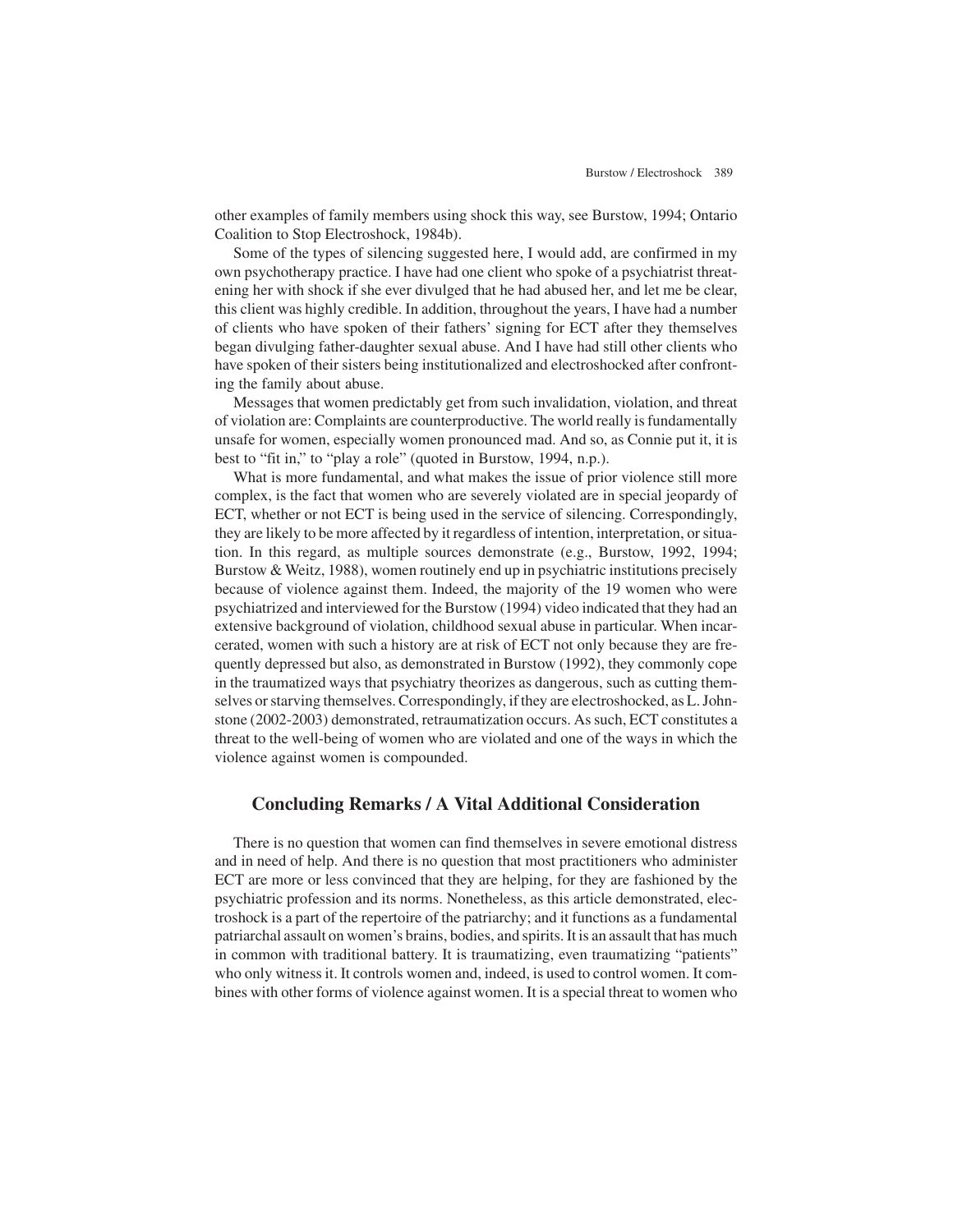other examples of family members using shock this way, see Burstow, 1994; Ontario Coalition to Stop Electroshock, 1984b).

Some of the types of silencing suggested here, I would add, are confirmed in my own psychotherapy practice. I have had one client who spoke of a psychiatrist threatening her with shock if she ever divulged that he had abused her, and let me be clear, this client was highly credible. In addition, throughout the years, I have had a number of clients who have spoken of their fathers' signing for ECT after they themselves began divulging father-daughter sexual abuse. And I have had still other clients who have spoken of their sisters being institutionalized and electroshocked after confronting the family about abuse.

Messages that women predictably get from such invalidation, violation, and threat of violation are: Complaints are counterproductive. The world really is fundamentally unsafe for women, especially women pronounced mad. And so, as Connie put it, it is best to "fit in," to "play a role" (quoted in Burstow, 1994, n.p.).

What is more fundamental, and what makes the issue of prior violence still more complex, is the fact that women who are severely violated are in special jeopardy of ECT, whether or not ECT is being used in the service of silencing. Correspondingly, they are likely to be more affected by it regardless of intention, interpretation, or situation. In this regard, as multiple sources demonstrate (e.g., Burstow, 1992, 1994; Burstow & Weitz, 1988), women routinely end up in psychiatric institutions precisely because of violence against them. Indeed, the majority of the 19 women who were psychiatrized and interviewed for the Burstow (1994) video indicated that they had an extensive background of violation, childhood sexual abuse in particular. When incarcerated, women with such a history are at risk of ECT not only because they are frequently depressed but also, as demonstrated in Burstow (1992), they commonly cope in the traumatized ways that psychiatry theorizes as dangerous, such as cutting themselves or starving themselves. Correspondingly, if they are electroshocked, as L. Johnstone (2002-2003) demonstrated, retraumatization occurs. As such, ECT constitutes a threat to the well-being of women who are violated and one of the ways in which the violence against women is compounded.

# **Concluding Remarks / A Vital Additional Consideration**

There is no question that women can find themselves in severe emotional distress and in need of help. And there is no question that most practitioners who administer ECT are more or less convinced that they are helping, for they are fashioned by the psychiatric profession and its norms. Nonetheless, as this article demonstrated, electroshock is a part of the repertoire of the patriarchy; and it functions as a fundamental patriarchal assault on women's brains, bodies, and spirits. It is an assault that has much in common with traditional battery. It is traumatizing, even traumatizing "patients" who only witness it. It controls women and, indeed, is used to control women. It combines with other forms of violence against women. It is a special threat to women who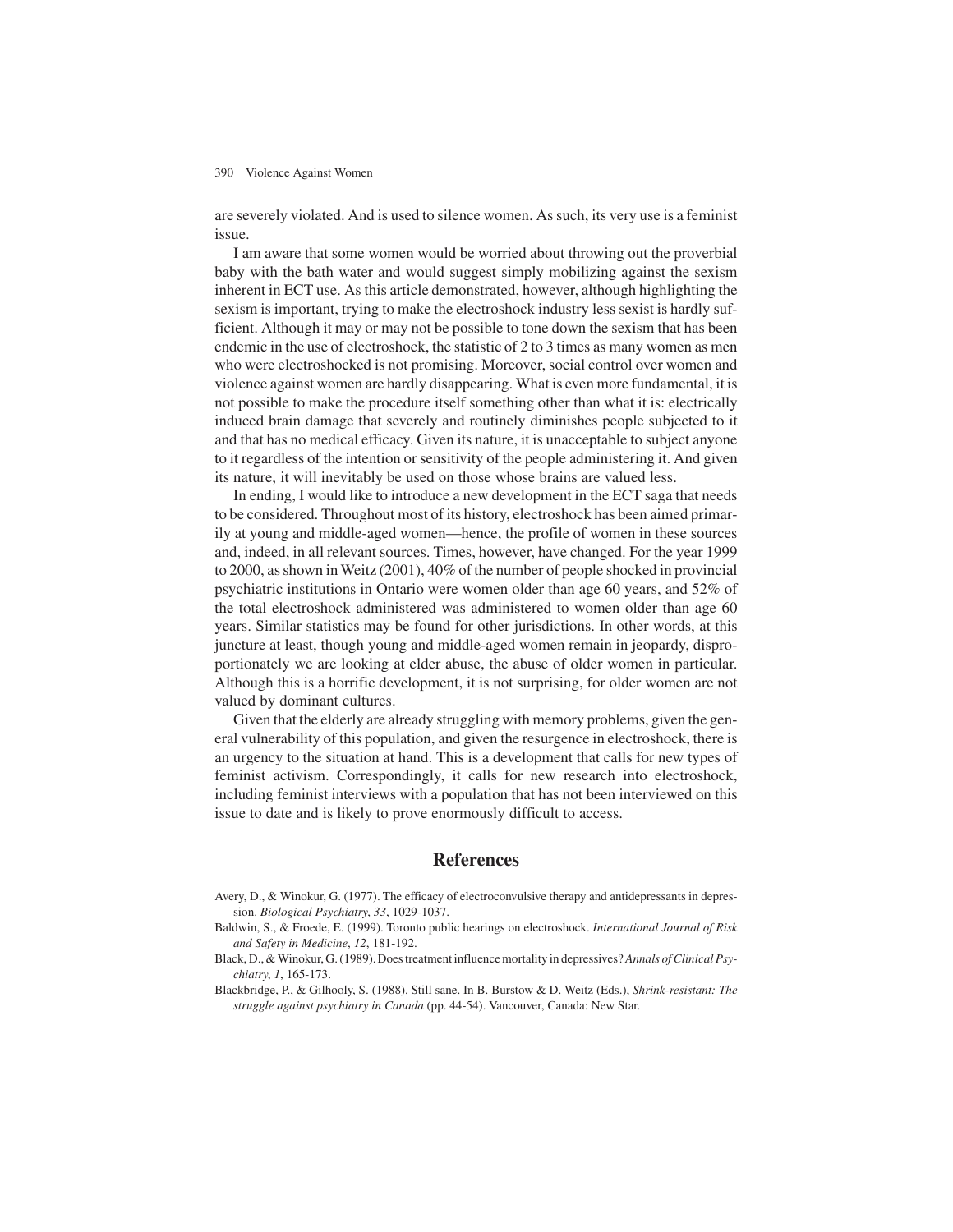are severely violated. And is used to silence women. As such, its very use is a feminist issue.

I am aware that some women would be worried about throwing out the proverbial baby with the bath water and would suggest simply mobilizing against the sexism inherent in ECT use. As this article demonstrated, however, although highlighting the sexism is important, trying to make the electroshock industry less sexist is hardly sufficient. Although it may or may not be possible to tone down the sexism that has been endemic in the use of electroshock, the statistic of 2 to 3 times as many women as men who were electroshocked is not promising. Moreover, social control over women and violence against women are hardly disappearing. What is even more fundamental, it is not possible to make the procedure itself something other than what it is: electrically induced brain damage that severely and routinely diminishes people subjected to it and that has no medical efficacy. Given its nature, it is unacceptable to subject anyone to it regardless of the intention or sensitivity of the people administering it. And given its nature, it will inevitably be used on those whose brains are valued less.

In ending, I would like to introduce a new development in the ECT saga that needs to be considered. Throughout most of its history, electroshock has been aimed primarily at young and middle-aged women—hence, the profile of women in these sources and, indeed, in all relevant sources. Times, however, have changed. For the year 1999 to 2000, as shown in Weitz (2001), 40% of the number of people shocked in provincial psychiatric institutions in Ontario were women older than age 60 years, and 52% of the total electroshock administered was administered to women older than age 60 years. Similar statistics may be found for other jurisdictions. In other words, at this juncture at least, though young and middle-aged women remain in jeopardy, disproportionately we are looking at elder abuse, the abuse of older women in particular. Although this is a horrific development, it is not surprising, for older women are not valued by dominant cultures.

Given that the elderly are already struggling with memory problems, given the general vulnerability of this population, and given the resurgence in electroshock, there is an urgency to the situation at hand. This is a development that calls for new types of feminist activism. Correspondingly, it calls for new research into electroshock, including feminist interviews with a population that has not been interviewed on this issue to date and is likely to prove enormously difficult to access.

# **References**

- Avery, D., & Winokur, G. (1977). The efficacy of electroconvulsive therapy and antidepressants in depression. *Biological Psychiatry*, *33*, 1029-1037.
- Baldwin, S., & Froede, E. (1999). Toronto public hearings on electroshock. *International Journal of Risk and Safety in Medicine*, *12*, 181-192.
- Black, D., & Winokur, G. (1989). Does treatment influence mortality in depressives? *Annals of Clinical Psychiatry*, *1*, 165-173.
- Blackbridge, P., & Gilhooly, S. (1988). Still sane. In B. Burstow & D. Weitz (Eds.), *Shrink-resistant: The struggle against psychiatry in Canada* (pp. 44-54). Vancouver, Canada: New Star.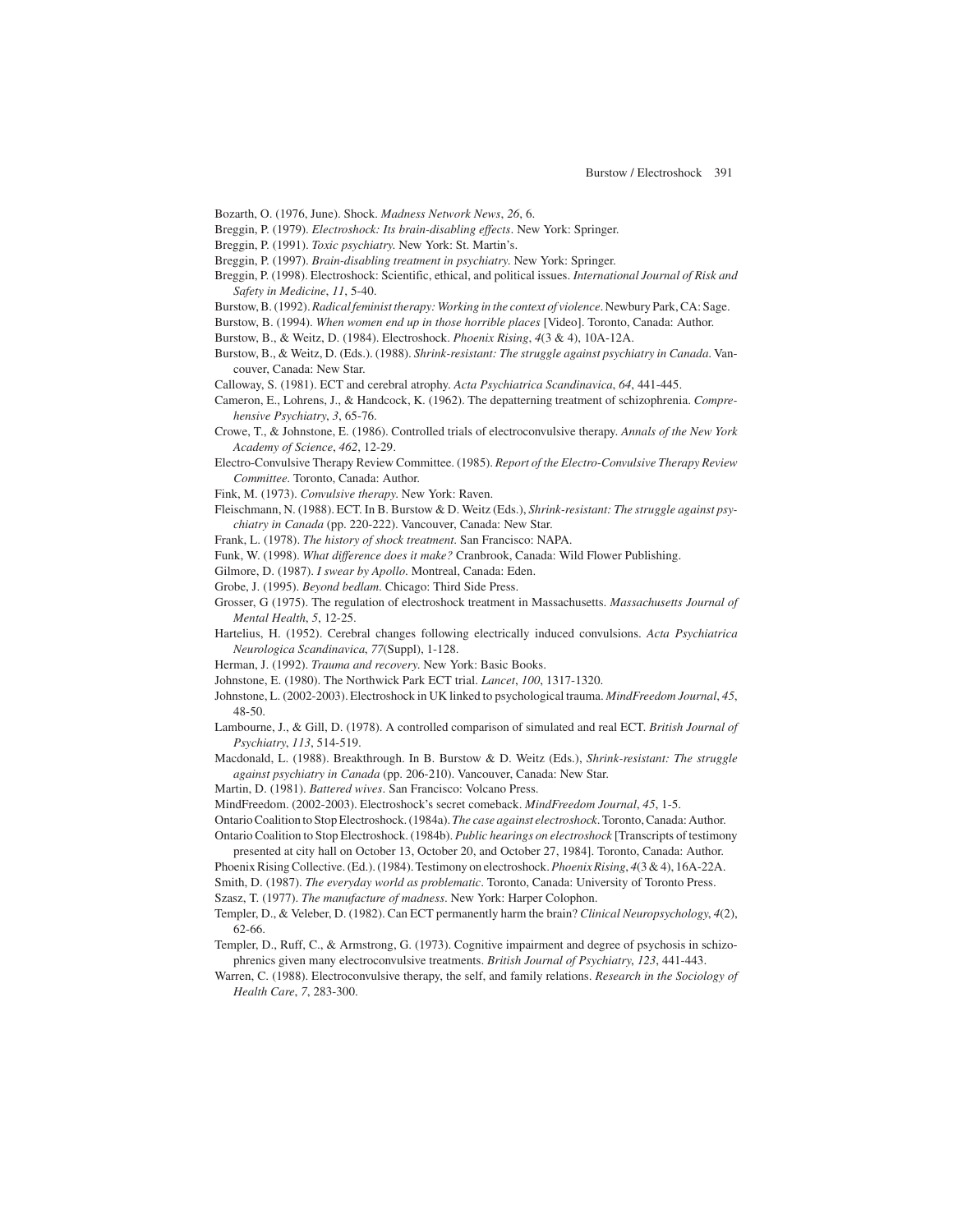Bozarth, O. (1976, June). Shock. *Madness Network News*, *26*, 6.

- Breggin, P. (1979). *Electroshock: Its brain-disabling effects*. New York: Springer.
- Breggin, P. (1991). *Toxic psychiatry*. New York: St. Martin's.
- Breggin, P. (1997). *Brain-disabling treatment in psychiatry*. New York: Springer.
- Breggin, P. (1998). Electroshock: Scientific, ethical, and political issues. *International Journal of Risk and Safety in Medicine*, *11*, 5-40.
- Burstow, B. (1992).*Radical feminist therapy: Working in the context of violence*. Newbury Park, CA: Sage.
- Burstow, B. (1994). *When women end up in those horrible places* [Video]. Toronto, Canada: Author.
- Burstow, B., & Weitz, D. (1984). Electroshock. *Phoenix Rising*, *4*(3 & 4), 10A-12A.
- Burstow, B., & Weitz, D. (Eds.). (1988). *Shrink-resistant: The struggle against psychiatry in Canada*. Vancouver, Canada: New Star.
- Calloway, S. (1981). ECT and cerebral atrophy. *Acta Psychiatrica Scandinavica*, *64*, 441-445.
- Cameron, E., Lohrens, J., & Handcock, K. (1962). The depatterning treatment of schizophrenia. *Comprehensive Psychiatry*, *3*, 65-76.
- Crowe, T., & Johnstone, E. (1986). Controlled trials of electroconvulsive therapy. *Annals of the New York Academy of Science*, *462*, 12-29.
- Electro-Convulsive Therapy Review Committee. (1985). *Report of the Electro-Convulsive Therapy Review Committee*. Toronto, Canada: Author.
- Fink, M. (1973). *Convulsive therapy*. New York: Raven.
- Fleischmann, N. (1988). ECT. In B. Burstow & D. Weitz (Eds.), *Shrink-resistant: The struggle against psychiatry in Canada* (pp. 220-222). Vancouver, Canada: New Star.

Frank, L. (1978). *The history of shock treatment*. San Francisco: NAPA.

Funk, W. (1998). *What difference does it make?* Cranbrook, Canada: Wild Flower Publishing.

Gilmore, D. (1987). *I swear by Apollo*. Montreal, Canada: Eden.

- Grobe, J. (1995). *Beyond bedlam*. Chicago: Third Side Press.
- Grosser, G (1975). The regulation of electroshock treatment in Massachusetts. *Massachusetts Journal of Mental Health*, *5*, 12-25.
- Hartelius, H. (1952). Cerebral changes following electrically induced convulsions. *Acta Psychiatrica Neurologica Scandinavica*, *77*(Suppl), 1-128.
- Herman, J. (1992). *Trauma and recovery*. New York: Basic Books.
- Johnstone, E. (1980). The Northwick Park ECT trial. *Lancet*, *100*, 1317-1320.
- Johnstone, L. (2002-2003). Electroshock in UK linked to psychological trauma. *MindFreedom Journal*, *45*, 48-50.
- Lambourne, J., & Gill, D. (1978). A controlled comparison of simulated and real ECT. *British Journal of Psychiatry*, *113*, 514-519.
- Macdonald, L. (1988). Breakthrough. In B. Burstow & D. Weitz (Eds.), *Shrink-resistant: The struggle against psychiatry in Canada* (pp. 206-210). Vancouver, Canada: New Star.
- Martin, D. (1981). *Battered wives*. San Francisco: Volcano Press.

MindFreedom. (2002-2003). Electroshock's secret comeback. *MindFreedom Journal*, *45*, 1-5.

- Ontario Coalition to Stop Electroshock. (1984a).*The case against electroshock*. Toronto, Canada: Author.
- Ontario Coalition to Stop Electroshock. (1984b). *Public hearings on electroshock* [Transcripts of testimony presented at city hall on October 13, October 20, and October 27, 1984]. Toronto, Canada: Author.
- Phoenix Rising Collective. (Ed.). (1984). Testimony on electroshock.*Phoenix Rising*, *4*(3 & 4), 16A-22A. Smith, D. (1987). *The everyday world as problematic*. Toronto, Canada: University of Toronto Press.
- Szasz, T. (1977). *The manufacture of madness*. New York: Harper Colophon.
- Templer, D., & Veleber, D. (1982). Can ECT permanently harm the brain? *Clinical Neuropsychology*, *4*(2), 62-66.
- Templer, D., Ruff, C., & Armstrong, G. (1973). Cognitive impairment and degree of psychosis in schizophrenics given many electroconvulsive treatments. *British Journal of Psychiatry*, *123*, 441-443.
- Warren, C. (1988). Electroconvulsive therapy, the self, and family relations. *Research in the Sociology of Health Care*, *7*, 283-300.